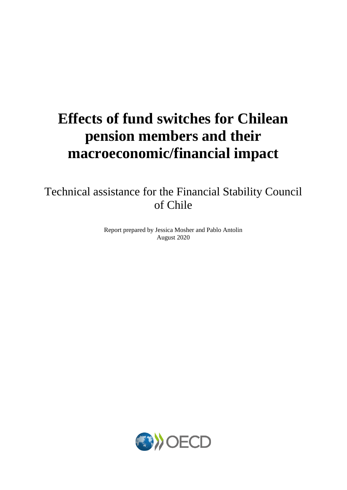# **Effects of fund switches for Chilean pension members and their macroeconomic/financial impact**

Technical assistance for the Financial Stability Council of Chile

> Report prepared by Jessica Mosher and Pablo Antolin August 2020

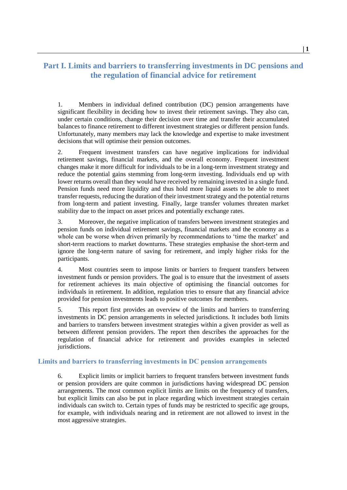# **Part I. Limits and barriers to transferring investments in DC pensions and the regulation of financial advice for retirement**

1. Members in individual defined contribution (DC) pension arrangements have significant flexibility in deciding how to invest their retirement savings. They also can, under certain conditions, change their decision over time and transfer their accumulated balances to finance retirement to different investment strategies or different pension funds. Unfortunately, many members may lack the knowledge and expertise to make investment decisions that will optimise their pension outcomes.

2. Frequent investment transfers can have negative implications for individual retirement savings, financial markets, and the overall economy. Frequent investment changes make it more difficult for individuals to be in a long-term investment strategy and reduce the potential gains stemming from long-term investing. Individuals end up with lower returns overall than they would have received by remaining invested in a single fund. Pension funds need more liquidity and thus hold more liquid assets to be able to meet transfer requests, reducing the duration of their investment strategy and the potential returns from long-term and patient investing. Finally, large transfer volumes threaten market stability due to the impact on asset prices and potentially exchange rates.

3. Moreover, the negative implication of transfers between investment strategies and pension funds on individual retirement savings, financial markets and the economy as a whole can be worse when driven primarily by recommendations to 'time the market' and short-term reactions to market downturns. These strategies emphasise the short-term and ignore the long-term nature of saving for retirement, and imply higher risks for the participants.

4. Most countries seem to impose limits or barriers to frequent transfers between investment funds or pension providers. The goal is to ensure that the investment of assets for retirement achieves its main objective of optimising the financial outcomes for individuals in retirement. In addition, regulation tries to ensure that any financial advice provided for pension investments leads to positive outcomes for members.

5. This report first provides an overview of the limits and barriers to transferring investments in DC pension arrangements in selected jurisdictions. It includes both limits and barriers to transfers between investment strategies within a given provider as well as between different pension providers. The report then describes the approaches for the regulation of financial advice for retirement and provides examples in selected jurisdictions.

#### **Limits and barriers to transferring investments in DC pension arrangements**

6. Explicit limits or implicit barriers to frequent transfers between investment funds or pension providers are quite common in jurisdictions having widespread DC pension arrangements. The most common explicit limits are limits on the frequency of transfers, but explicit limits can also be put in place regarding which investment strategies certain individuals can switch to. Certain types of funds may be restricted to specific age groups, for example, with individuals nearing and in retirement are not allowed to invest in the most aggressive strategies.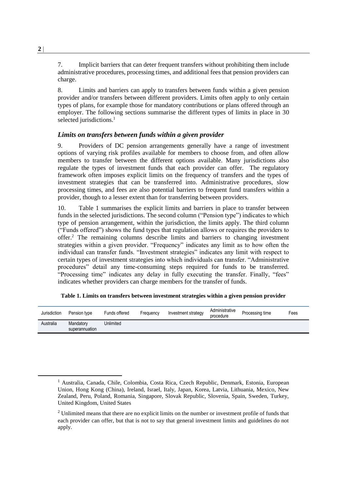7. Implicit barriers that can deter frequent transfers without prohibiting them include administrative procedures, processing times, and additional fees that pension providers can charge.

8. Limits and barriers can apply to transfers between funds within a given pension provider and/or transfers between different providers. Limits often apply to only certain types of plans, for example those for mandatory contributions or plans offered through an employer. The following sections summarise the different types of limits in place in 30 selected jurisdictions.<sup>1</sup>

## *Limits on transfers between funds within a given provider*

9. Providers of DC pension arrangements generally have a range of investment options of varying risk profiles available for members to choose from, and often allow members to transfer between the different options available. Many jurisdictions also regulate the types of investment funds that each provider can offer. The regulatory framework often imposes explicit limits on the frequency of transfers and the types of investment strategies that can be transferred into. Administrative procedures, slow processing times, and fees are also potential barriers to frequent fund transfers within a provider, though to a lesser extent than for transferring between providers.

10. [Table 1](#page-2-0) summarises the explicit limits and barriers in place to transfer between funds in the selected jurisdictions. The second column ("Pension type") indicates to which type of pension arrangement, within the jurisdiction, the limits apply. The third column ("Funds offered") shows the fund types that regulation allows or requires the providers to offer.<sup>2</sup> The remaining columns describe limits and barriers to changing investment strategies within a given provider. "Frequency" indicates any limit as to how often the individual can transfer funds. "Investment strategies" indicates any limit with respect to certain types of investment strategies into which individuals can transfer. "Administrative procedures" detail any time-consuming steps required for funds to be transferred. "Processing time" indicates any delay in fully executing the transfer. Finally, "fees" indicates whether providers can charge members for the transfer of funds.

<span id="page-2-0"></span>

| Jurisdiction | Pension type                | Funds offered | Frequency | Investment strategy | Administrative<br>procedure | Processing time | Fees |
|--------------|-----------------------------|---------------|-----------|---------------------|-----------------------------|-----------------|------|
| Australia    | Mandatory<br>superannuation | Unlimited     |           |                     |                             |                 |      |

**Table 1. Limits on transfers between investment strategies within a given pension provider**

 $<sup>1</sup>$  Australia, Canada, Chile, Colombia, Costa Rica, Czech Republic, Denmark, Estonia, European</sup> Union, Hong Kong (China), Ireland, Israel, Italy, Japan, Korea, Latvia, Lithuania, Mexico, New Zealand, Peru, Poland, Romania, Singapore, Slovak Republic, Slovenia, Spain, Sweden, Turkey, United Kingdom, United States

 $2$  Unlimited means that there are no explicit limits on the number or investment profile of funds that each provider can offer, but that is not to say that general investment limits and guidelines do not apply.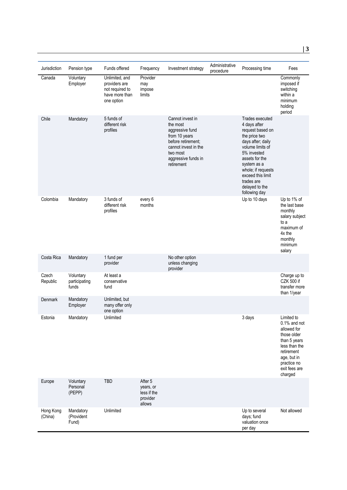| Jurisdiction         | Pension type                        | Funds offered                                                                      | Frequency                                                 | Investment strategy                                                                                                                                             | Administrative<br>procedure | Processing time                                                                                                                                                                                                                                           | Fees                                                                                                                                                                 |
|----------------------|-------------------------------------|------------------------------------------------------------------------------------|-----------------------------------------------------------|-----------------------------------------------------------------------------------------------------------------------------------------------------------------|-----------------------------|-----------------------------------------------------------------------------------------------------------------------------------------------------------------------------------------------------------------------------------------------------------|----------------------------------------------------------------------------------------------------------------------------------------------------------------------|
| Canada               | Voluntary<br>Employer               | Unlimited, and<br>providers are<br>not required to<br>have more than<br>one option | Provider<br>may<br>impose<br>limits                       |                                                                                                                                                                 |                             |                                                                                                                                                                                                                                                           | Commonly<br>imposed if<br>switching<br>within a<br>minimum<br>holding<br>period                                                                                      |
| Chile                | Mandatory                           | 5 funds of<br>different risk<br>profiles                                           |                                                           | Cannot invest in<br>the most<br>aggressive fund<br>from 10 years<br>before retirement;<br>cannot invest in the<br>two most<br>aggressive funds in<br>retirement |                             | Trades executed<br>4 days after<br>request based on<br>the price two<br>days after; daily<br>volume limits of<br>5% invested<br>assets for the<br>system as a<br>whole; if requests<br>exceed this limit<br>trades are<br>delayed to the<br>following day |                                                                                                                                                                      |
| Colombia             | Mandatory                           | 3 funds of<br>different risk<br>profiles                                           | every 6<br>months                                         |                                                                                                                                                                 |                             | Up to 10 days                                                                                                                                                                                                                                             | Up to 1% of<br>the last base<br>monthly<br>salary subject<br>to a<br>maximum of<br>4x the<br>monthly<br>minimum<br>salary                                            |
| Costa Rica           | Mandatory                           | 1 fund per<br>provider                                                             |                                                           | No other option<br>unless changing<br>provider                                                                                                                  |                             |                                                                                                                                                                                                                                                           |                                                                                                                                                                      |
| Czech<br>Republic    | Voluntary<br>participating<br>funds | At least a<br>conservative<br>fund                                                 |                                                           |                                                                                                                                                                 |                             |                                                                                                                                                                                                                                                           | Charge up to<br><b>CZK 500 if</b><br>transfer more<br>than 1/year                                                                                                    |
| Denmark              | Mandatory<br>Employer               | Unlimited, but<br>many offer only<br>one option                                    |                                                           |                                                                                                                                                                 |                             |                                                                                                                                                                                                                                                           |                                                                                                                                                                      |
| Estonia              | Mandatory                           | Unlimited                                                                          |                                                           |                                                                                                                                                                 |                             | 3 days                                                                                                                                                                                                                                                    | Limited to<br>$0.1\%$ and not<br>allowed for<br>those older<br>than 5 years<br>less than the<br>retirement<br>age, but in<br>practice no<br>exit fees are<br>charged |
| Europe               | Voluntary<br>Personal<br>(PEPP)     | <b>TBD</b>                                                                         | After 5<br>years, or<br>less if the<br>provider<br>allows |                                                                                                                                                                 |                             |                                                                                                                                                                                                                                                           |                                                                                                                                                                      |
| Hong Kong<br>(China) | Mandatory<br>(Provident<br>Fund)    | Unlimited                                                                          |                                                           |                                                                                                                                                                 |                             | Up to several<br>days; fund<br>valuation once<br>per day                                                                                                                                                                                                  | Not allowed                                                                                                                                                          |

**3**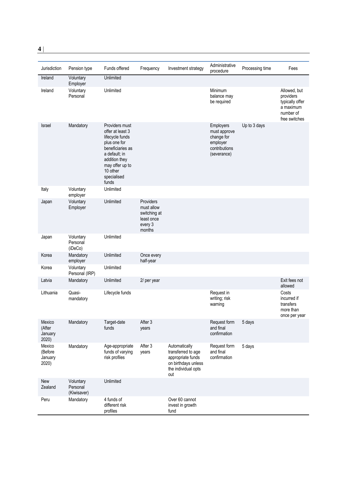| Jurisdiction                          | Pension type                         | Funds offered                                                                                                                                                                      | Frequency                                                                  | Investment strategy                                                                                           | Administrative<br>procedure                                                         | Processing time | Fees                                                                                    |
|---------------------------------------|--------------------------------------|------------------------------------------------------------------------------------------------------------------------------------------------------------------------------------|----------------------------------------------------------------------------|---------------------------------------------------------------------------------------------------------------|-------------------------------------------------------------------------------------|-----------------|-----------------------------------------------------------------------------------------|
| Ireland                               | Voluntary<br>Employer                | Unlimited                                                                                                                                                                          |                                                                            |                                                                                                               |                                                                                     |                 |                                                                                         |
| Ireland                               | Voluntary<br>Personal                | Unlimited                                                                                                                                                                          |                                                                            |                                                                                                               | Minimum<br>balance may<br>be required                                               |                 | Allowed, but<br>providers<br>typically offer<br>a maximum<br>number of<br>free switches |
| <b>Israel</b>                         | Mandatory                            | Providers must<br>offer at least 3<br>lifecycle funds<br>plus one for<br>beneficiaries as<br>a default; in<br>addition they<br>may offer up to<br>10 other<br>specialised<br>funds |                                                                            |                                                                                                               | Employers<br>must approve<br>change for<br>employer<br>contributions<br>(severance) | Up to 3 days    |                                                                                         |
| Italy                                 | Voluntary<br>employer                | Unlimited                                                                                                                                                                          |                                                                            |                                                                                                               |                                                                                     |                 |                                                                                         |
| Japan                                 | Voluntary<br>Employer                | Unlimited                                                                                                                                                                          | Providers<br>must allow<br>switching at<br>least once<br>every 3<br>months |                                                                                                               |                                                                                     |                 |                                                                                         |
| Japan                                 | Voluntary<br>Personal<br>(iDeCo)     | Unlimited                                                                                                                                                                          |                                                                            |                                                                                                               |                                                                                     |                 |                                                                                         |
| Korea                                 | Mandatory<br>employer                | Unlimited                                                                                                                                                                          | Once every<br>half-year                                                    |                                                                                                               |                                                                                     |                 |                                                                                         |
| Korea                                 | Voluntary<br>Personal (IRP)          | Unlimited                                                                                                                                                                          |                                                                            |                                                                                                               |                                                                                     |                 |                                                                                         |
| Latvia                                | Mandatory                            | Unlimited                                                                                                                                                                          | 2/ per year                                                                |                                                                                                               |                                                                                     |                 | Exit fees not<br>allowed                                                                |
| Lithuania                             | Quasi-<br>mandatory                  | Lifecycle funds                                                                                                                                                                    |                                                                            |                                                                                                               | Request in<br>writing; risk<br>warning                                              |                 | Costs<br>incurred if<br>transfers<br>more than<br>once per year                         |
| Mexico<br>(After<br>January<br>2020)  | Mandatory                            | Target-date<br>funds                                                                                                                                                               | After 3<br>years                                                           |                                                                                                               | Request form<br>and final<br>confirmation                                           | 5 days          |                                                                                         |
| Mexico<br>(Before<br>January<br>2020) | Mandatory                            | Age-appropriate<br>funds of varying<br>risk profiles                                                                                                                               | After 3<br>years                                                           | Automatically<br>transferred to age<br>appropriate funds<br>on birthdays unless<br>the individual opts<br>out | Request form<br>and final<br>confirmation                                           | 5 days          |                                                                                         |
| New<br>Zealand                        | Voluntary<br>Personal<br>(Kiwisaver) | Unlimited                                                                                                                                                                          |                                                                            |                                                                                                               |                                                                                     |                 |                                                                                         |
| Peru                                  | Mandatory                            | 4 funds of<br>different risk<br>profiles                                                                                                                                           |                                                                            | Over 60 cannot<br>invest in growth<br>fund                                                                    |                                                                                     |                 |                                                                                         |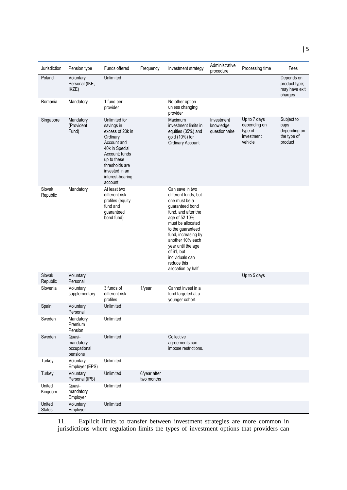| Jurisdiction            | Pension type                                    | Funds offered                                                                                                                                                                                    | Frequency                  | Investment strategy                                                                                                                                                                                                                                                                                  | Administrative                           | Processing time                                                  | Fees                                                         |
|-------------------------|-------------------------------------------------|--------------------------------------------------------------------------------------------------------------------------------------------------------------------------------------------------|----------------------------|------------------------------------------------------------------------------------------------------------------------------------------------------------------------------------------------------------------------------------------------------------------------------------------------------|------------------------------------------|------------------------------------------------------------------|--------------------------------------------------------------|
| Poland                  | Voluntary<br>Personal (IKE,<br>IKZE)            | Unlimited                                                                                                                                                                                        |                            |                                                                                                                                                                                                                                                                                                      | procedure                                |                                                                  | Depends on<br>product type;<br>may have exit<br>charges      |
| Romania                 | Mandatory                                       | 1 fund per<br>provider                                                                                                                                                                           |                            | No other option<br>unless changing<br>provider                                                                                                                                                                                                                                                       |                                          |                                                                  |                                                              |
| Singapore               | Mandatory<br>(Provident<br>Fund)                | Unlimited for<br>savings in<br>excess of 20k in<br>Ordinary<br>Account and<br>40k in Special<br>Account; funds<br>up to these<br>thresholds are<br>invested in an<br>interest-bearing<br>account |                            | Maximum<br>investment limits in<br>equities (35%) and<br>gold (10%) for<br><b>Ordinary Account</b>                                                                                                                                                                                                   | Investment<br>knowledge<br>questionnaire | Up to 7 days<br>depending on<br>type of<br>investment<br>vehicle | Subject to<br>caps<br>depending on<br>the type of<br>product |
| Slovak<br>Republic      | Mandatory                                       | At least two<br>different risk<br>profiles (equity<br>fund and<br>guaranteed<br>bond fund)                                                                                                       |                            | Can save in two<br>different funds, but<br>one must be a<br>guaranteed bond<br>fund, and after the<br>age of 52 10%<br>must be allocated<br>to the guaranteed<br>fund, increasing by<br>another 10% each<br>year until the age<br>of 61, but<br>individuals can<br>reduce this<br>allocation by half |                                          |                                                                  |                                                              |
| Slovak<br>Republic      | Voluntary<br>Personal                           |                                                                                                                                                                                                  |                            |                                                                                                                                                                                                                                                                                                      |                                          | Up to 5 days                                                     |                                                              |
| Slovenia                | Voluntary<br>supplementary                      | 3 funds of<br>different risk<br>profiles                                                                                                                                                         | 1/year                     | Cannot invest in a<br>fund targeted at a<br>younger cohort.                                                                                                                                                                                                                                          |                                          |                                                                  |                                                              |
| Spain                   | Voluntary<br>Personal                           | Unlimited                                                                                                                                                                                        |                            |                                                                                                                                                                                                                                                                                                      |                                          |                                                                  |                                                              |
| Sweden                  | Mandatory<br>Premium<br>Pension                 | Unlimited                                                                                                                                                                                        |                            |                                                                                                                                                                                                                                                                                                      |                                          |                                                                  |                                                              |
| Sweden                  | Quasi-<br>mandatory<br>occupational<br>pensions | Unlimited                                                                                                                                                                                        |                            | Collective<br>agreements can<br>impose restrictions.                                                                                                                                                                                                                                                 |                                          |                                                                  |                                                              |
| Turkey                  | Voluntary<br>Employer (EPS)                     | Unlimited                                                                                                                                                                                        |                            |                                                                                                                                                                                                                                                                                                      |                                          |                                                                  |                                                              |
| Turkey                  | Voluntary<br>Personal (IPS)                     | Unlimited                                                                                                                                                                                        | 6/year after<br>two months |                                                                                                                                                                                                                                                                                                      |                                          |                                                                  |                                                              |
| United<br>Kingdom       | Quasi-<br>mandatory<br>Employer                 | Unlimited                                                                                                                                                                                        |                            |                                                                                                                                                                                                                                                                                                      |                                          |                                                                  |                                                              |
| United<br><b>States</b> | Voluntary<br>Employer                           | Unlimited                                                                                                                                                                                        |                            |                                                                                                                                                                                                                                                                                                      |                                          |                                                                  |                                                              |

11. Explicit limits to transfer between investment strategies are more common in jurisdictions where regulation limits the types of investment options that providers can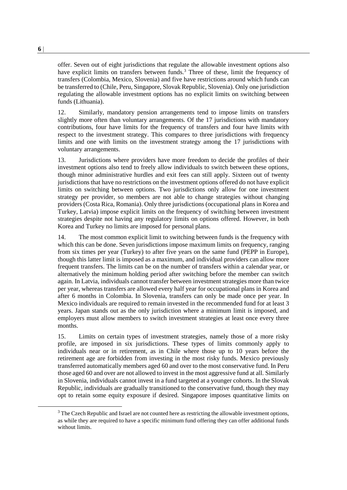offer. Seven out of eight jurisdictions that regulate the allowable investment options also have explicit limits on transfers between funds.<sup>3</sup> Three of these, limit the frequency of transfers (Colombia, Mexico, Slovenia) and five have restrictions around which funds can be transferred to (Chile, Peru, Singapore, Slovak Republic, Slovenia). Only one jurisdiction regulating the allowable investment options has no explicit limits on switching between funds (Lithuania).

12. Similarly, mandatory pension arrangements tend to impose limits on transfers slightly more often than voluntary arrangements. Of the 17 jurisdictions with mandatory contributions, four have limits for the frequency of transfers and four have limits with respect to the investment strategy. This compares to three jurisdictions with frequency limits and one with limits on the investment strategy among the 17 jurisdictions with voluntary arrangements.

13. Jurisdictions where providers have more freedom to decide the profiles of their investment options also tend to freely allow individuals to switch between these options, though minor administrative hurdles and exit fees can still apply. Sixteen out of twenty jurisdictions that have no restrictions on the investment options offered do not have explicit limits on switching between options. Two jurisdictions only allow for one investment strategy per provider, so members are not able to change strategies without changing providers (Costa Rica, Romania). Only three jurisdictions (occupational plans in Korea and Turkey, Latvia) impose explicit limits on the frequency of switching between investment strategies despite not having any regulatory limits on options offered. However, in both Korea and Turkey no limits are imposed for personal plans.

14. The most common explicit limit to switching between funds is the frequency with which this can be done. Seven jurisdictions impose maximum limits on frequency, ranging from six times per year (Turkey) to after five years on the same fund (PEPP in Europe), though this latter limit is imposed as a maximum, and individual providers can allow more frequent transfers. The limits can be on the number of transfers within a calendar year, or alternatively the minimum holding period after switching before the member can switch again. In Latvia, individuals cannot transfer between investment strategies more than twice per year, whereas transfers are allowed every half year for occupational plans in Korea and after 6 months in Colombia. In Slovenia, transfers can only be made once per year. In Mexico individuals are required to remain invested in the recommended fund for at least 3 years. Japan stands out as the only jurisdiction where a minimum limit is imposed, and employers must allow members to switch investment strategies at least once every three months.

15. Limits on certain types of investment strategies, namely those of a more risky profile, are imposed in six jurisdictions. These types of limits commonly apply to individuals near or in retirement, as in Chile where those up to 10 years before the retirement age are forbidden from investing in the most risky funds. Mexico previously transferred automatically members aged 60 and over to the most conservative fund. In Peru those aged 60 and over are not allowed to invest in the most aggressive fund at all. Similarly in Slovenia, individuals cannot invest in a fund targeted at a younger cohorts. In the Slovak Republic, individuals are gradually transitioned to the conservative fund, though they may opt to retain some equity exposure if desired. Singapore imposes quantitative limits on

 $3$  The Czech Republic and Israel are not counted here as restricting the allowable investment options, as while they are required to have a specific minimum fund offering they can offer additional funds without limits.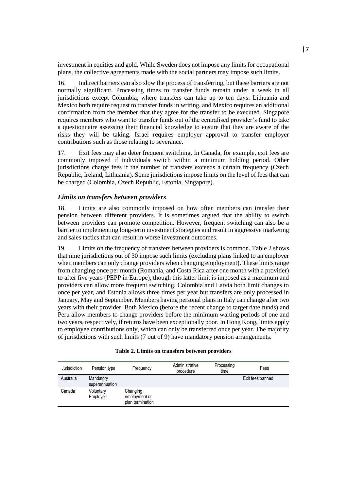investment in equities and gold. While Sweden does not impose any limits for occupational plans, the collective agreements made with the social partners may impose such limits.

16. Indirect barriers can also slow the process of transferring, but these barriers are not normally significant. Processing times to transfer funds remain under a week in all jurisdictions except Columbia, where transfers can take up to ten days. Lithuania and Mexico both require request to transfer funds in writing, and Mexico requires an additional confirmation from the member that they agree for the transfer to be executed. Singapore requires members who want to transfer funds out of the centralised provider's fund to take a questionnaire assessing their financial knowledge to ensure that they are aware of the risks they will be taking. Israel requires employer approval to transfer employer contributions such as those relating to severance.

17. Exit fees may also deter frequent switching. In Canada, for example, exit fees are commonly imposed if individuals switch within a minimum holding period. Other jurisdictions charge fees if the number of transfers exceeds a certain frequency (Czech Republic, Ireland, Lithuania). Some jurisdictions impose limits on the level of fees that can be charged (Colombia, Czech Republic, Estonia, Singapore).

#### *Limits on transfers between providers*

18. Limits are also commonly imposed on how often members can transfer their pension between different providers. It is sometimes argued that the ability to switch between providers can promote competition. However, frequent switching can also be a barrier to implementing long-term investment strategies and result in aggressive marketing and sales tactics that can result in worse investment outcomes.

19. Limits on the frequency of transfers between providers is common. [Table 2](#page-7-0) shows that nine jurisdictions out of 30 impose such limits (excluding plans linked to an employer when members can only change providers when changing employment). These limits range from changing once per month (Romania, and Costa Rica after one month with a provider) to after five years (PEPP in Europe), though this latter limit is imposed as a maximum and providers can allow more frequent switching. Colombia and Latvia both limit changes to once per year, and Estonia allows three times per year but transfers are only processed in January, May and September. Members having personal plans in Italy can change after two years with their provider. Both Mexico (before the recent change to target date funds) and Peru allow members to change providers before the minimum waiting periods of one and two years, respectively, if returns have been exceptionally poor. In Hong Kong, limits apply to employee contributions only, which can only be transferred once per year. The majority of jurisdictions with such limits (7 out of 9) have mandatory pension arrangements.

| Table 2. Limits on transfers between providers |  |  |  |
|------------------------------------------------|--|--|--|
|------------------------------------------------|--|--|--|

<span id="page-7-0"></span>

| Jurisdiction | Pension type                | Frequency                                     | Administrative<br>procedure | Processing<br>time | Fees             |
|--------------|-----------------------------|-----------------------------------------------|-----------------------------|--------------------|------------------|
| Australia    | Mandatory<br>superannuation |                                               |                             |                    | Exit fees banned |
| Canada       | Voluntary<br>Employer       | Changing<br>employment or<br>plan termination |                             |                    |                  |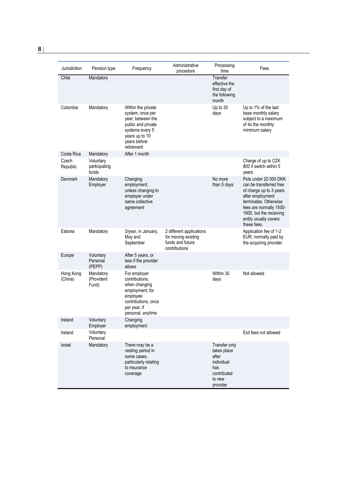| Jurisdiction         | Pension type                        | Frequency                                                                                                                                            | Administrative<br>procedure                                                          | Processing<br>time                                                                              | Fees                                                                                                                                                                                                                   |
|----------------------|-------------------------------------|------------------------------------------------------------------------------------------------------------------------------------------------------|--------------------------------------------------------------------------------------|-------------------------------------------------------------------------------------------------|------------------------------------------------------------------------------------------------------------------------------------------------------------------------------------------------------------------------|
| Chile                | Mandatory                           |                                                                                                                                                      |                                                                                      | Transfer<br>effective the<br>first day of<br>the following<br>month                             |                                                                                                                                                                                                                        |
| Colombia             | Mandatory                           | Within the private<br>system, once per<br>year; between the<br>public and private<br>systems every 5<br>years up to 10<br>years before<br>retirement |                                                                                      | Up to 30<br>days                                                                                | Up to 1% of the last<br>base monthly salary<br>subject to a maximum<br>of 4x the monthly<br>minimum salary                                                                                                             |
| Costa Rica           | Mandatory                           | After 1 month                                                                                                                                        |                                                                                      |                                                                                                 |                                                                                                                                                                                                                        |
| Czech<br>Republic    | Voluntary<br>participating<br>funds |                                                                                                                                                      |                                                                                      |                                                                                                 | Charge of up to CZK<br>800 if switch within 5<br>years                                                                                                                                                                 |
| Denmark              | Mandatory<br>Employer               | Changing<br>employment.<br>unless changing to<br>employer under<br>same collective<br>agreement                                                      |                                                                                      | No more<br>than 5 days                                                                          | Pots under 20 000 DKK<br>can be transferred free<br>of charge up to 3 years<br>after employment<br>terminates. Otherwise<br>fees are normally 1500-<br>1900, but the receiving<br>entity usually covers<br>these fees. |
| Estonia              | Mandatory                           | 3/year, in January,<br>May and<br>September                                                                                                          | 2 different applications<br>for moving existing<br>funds and future<br>contributions |                                                                                                 | Application fee of 1-2<br>EUR, normally paid by<br>the acquiring provider                                                                                                                                              |
| Europe               | Voluntary<br>Personal<br>(PEPP)     | After 5 years, or<br>less if the provider<br>allows                                                                                                  |                                                                                      |                                                                                                 |                                                                                                                                                                                                                        |
| Hong Kong<br>(China) | Mandatory<br>(Provident<br>Fund)    | For employer<br>contributions.<br>when changing<br>employment; for<br>employee<br>contributions, once<br>per year; if<br>personal, anytime           |                                                                                      | Within 30<br>days                                                                               | Not allowed                                                                                                                                                                                                            |
| Ireland              | Voluntary<br>Employer               | Changing<br>employment                                                                                                                               |                                                                                      |                                                                                                 |                                                                                                                                                                                                                        |
| Ireland              | Voluntary<br>Personal               |                                                                                                                                                      |                                                                                      |                                                                                                 | Exit fees not allowed                                                                                                                                                                                                  |
| Israel               | Mandatory                           | There may be a<br>vesting period in<br>some cases.<br>particularly relating<br>to insurance<br>coverage                                              |                                                                                      | Transfer only<br>takes place<br>after<br>individual<br>has<br>contributed<br>to new<br>provider |                                                                                                                                                                                                                        |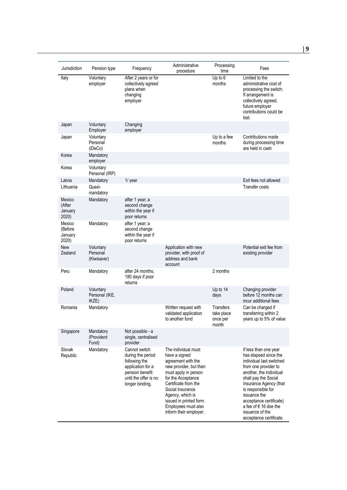| Jurisdiction                          | Pension type                         | Frequency                                                                                                                               | Administrative<br>procedure                                                                                                                                                                                                                                                    | Processing<br>time                                  | Fees                                                                                                                                                                                                                                                                                                                    |
|---------------------------------------|--------------------------------------|-----------------------------------------------------------------------------------------------------------------------------------------|--------------------------------------------------------------------------------------------------------------------------------------------------------------------------------------------------------------------------------------------------------------------------------|-----------------------------------------------------|-------------------------------------------------------------------------------------------------------------------------------------------------------------------------------------------------------------------------------------------------------------------------------------------------------------------------|
| Italy                                 | Voluntary<br>employer                | After 2 years or for<br>collectively agreed<br>plans when<br>changing<br>employer                                                       |                                                                                                                                                                                                                                                                                | Up to 6<br>months                                   | Limited to the<br>administrative cost of<br>processing the switch;<br>If arrangement is<br>collectively agreed,<br>future employer<br>contributions could be<br>lost.                                                                                                                                                   |
| Japan                                 | Voluntary<br>Employer                | Changing<br>employer                                                                                                                    |                                                                                                                                                                                                                                                                                |                                                     |                                                                                                                                                                                                                                                                                                                         |
| Japan                                 | Voluntarv<br>Personal<br>(iDeCo)     |                                                                                                                                         |                                                                                                                                                                                                                                                                                | Up to a few<br>months                               | Contributions made<br>during processing time<br>are held in cash                                                                                                                                                                                                                                                        |
| Korea                                 | Mandatory<br>employer                |                                                                                                                                         |                                                                                                                                                                                                                                                                                |                                                     |                                                                                                                                                                                                                                                                                                                         |
| Korea                                 | Voluntary<br>Personal (IRP)          |                                                                                                                                         |                                                                                                                                                                                                                                                                                |                                                     |                                                                                                                                                                                                                                                                                                                         |
| Latvia                                | Mandatory                            | 1/ year                                                                                                                                 |                                                                                                                                                                                                                                                                                |                                                     | Exit fees not allowed                                                                                                                                                                                                                                                                                                   |
| Lithuania                             | Quasi-<br>mandatory                  |                                                                                                                                         |                                                                                                                                                                                                                                                                                |                                                     | Transfer costs                                                                                                                                                                                                                                                                                                          |
| Mexico<br>(After<br>January<br>2020)  | Mandatory                            | after 1 year; a<br>second change<br>within the year if<br>poor returns                                                                  |                                                                                                                                                                                                                                                                                |                                                     |                                                                                                                                                                                                                                                                                                                         |
| Mexico<br>(Before<br>January<br>2020) | Mandatory                            | after 1 year; a<br>second change<br>within the year if<br>poor returns                                                                  |                                                                                                                                                                                                                                                                                |                                                     |                                                                                                                                                                                                                                                                                                                         |
| <b>New</b><br>Zealand                 | Voluntary<br>Personal<br>(Kiwisaver) |                                                                                                                                         | Application with new<br>provider, with proof of<br>address and bank<br>account                                                                                                                                                                                                 |                                                     | Potential exit fee from<br>existing provider                                                                                                                                                                                                                                                                            |
| Peru                                  | Mandatory                            | after 24 months:<br>180 days if poor<br>returns                                                                                         |                                                                                                                                                                                                                                                                                | 2 months                                            |                                                                                                                                                                                                                                                                                                                         |
| Poland                                | Voluntary<br>Personal (IKE,<br>IKZE) |                                                                                                                                         |                                                                                                                                                                                                                                                                                | Up to 14<br>days                                    | Changing provider<br>before 12 months can<br>incur additional fees                                                                                                                                                                                                                                                      |
| Romania                               | Mandatory                            |                                                                                                                                         | Written request with<br>validated application<br>to another fund                                                                                                                                                                                                               | <b>Transfers</b><br>take place<br>once per<br>month | Can be charged if<br>transferring within 2<br>years up to 5% of value                                                                                                                                                                                                                                                   |
| Singapore                             | Mandatory<br>(Provident<br>Fund)     | Not possible - a<br>single, centralised<br>provider                                                                                     |                                                                                                                                                                                                                                                                                |                                                     |                                                                                                                                                                                                                                                                                                                         |
| Slovak<br>Republic                    | Mandatory                            | Cannot switch<br>during the period<br>following the<br>application for a<br>pension benefit<br>until the offer is no<br>longer binding, | The individual must<br>have a signed<br>agreement with the<br>new provider, but then<br>must apply in person<br>for the Acceptance<br>Certificate from the<br>Social Insurance<br>Agency, which is<br>issued in printed form.<br>Employees must also<br>inform their employer. |                                                     | If less than one year<br>has elapsed since the<br>individual last switched<br>from one provider to<br>another, the individual<br>shall pay the Social<br>Insurance Agency (that<br>is responsible for<br>issuance the<br>acceptance certificate)<br>a fee of € 16 doe the<br>issuance of the<br>acceptance certificate. |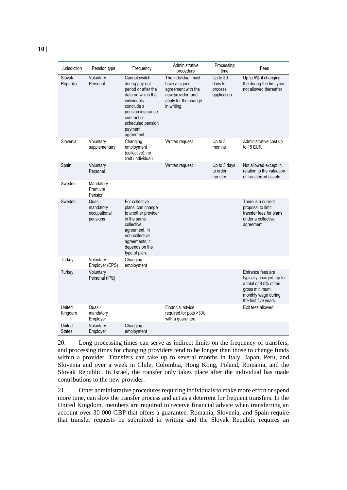| ٠<br>$\sim$ |  |
|-------------|--|

| Jurisdiction            | Pension type                                    | Frequency                                                                                                                                                                                  | Administrative<br>procedure                                                                                           | Processing<br>time                            | Fees                                                                                                                                     |
|-------------------------|-------------------------------------------------|--------------------------------------------------------------------------------------------------------------------------------------------------------------------------------------------|-----------------------------------------------------------------------------------------------------------------------|-----------------------------------------------|------------------------------------------------------------------------------------------------------------------------------------------|
| Slovak<br>Republic      | Voluntary<br>Personal                           | Cannot switch<br>during pay-out<br>period or after the<br>date on which the<br>individuals<br>conclude a<br>pension insurance<br>contract or<br>scheduled pension<br>payment<br>agreement. | The individual must<br>have a signed<br>agreement with the<br>new provider, and<br>apply for the change<br>in writing | Up to 30<br>days to<br>process<br>application | Up to 5% if changing<br>the during the first year;<br>not allowed thereafter                                                             |
| Slovenia                | Voluntary<br>supplementary                      | Changing<br>employment<br>(collective); no<br>limit (individual)                                                                                                                           | Written request                                                                                                       | Up to 3<br>months                             | Administrative cost up<br>to 15 EUR                                                                                                      |
| Spain                   | Voluntary<br>Personal                           |                                                                                                                                                                                            | Written request                                                                                                       | Up to 5 days<br>to order<br>transfer          | Not allowed except in<br>relation to the valuation<br>of transferred assets                                                              |
| Sweden                  | Mandatory<br>Premium<br>Pension                 |                                                                                                                                                                                            |                                                                                                                       |                                               |                                                                                                                                          |
| Sweden                  | Quasi-<br>mandatory<br>occupational<br>pensions | For collective<br>plans, can change<br>to another provider<br>in the same<br>collective<br>agreement. In<br>non-collective<br>agreements, it<br>depends on the<br>type of plan.            |                                                                                                                       |                                               | There is a current<br>proposal to limit<br>transfer fees for plans<br>under a collective<br>agreement.                                   |
| Turkey                  | Voluntary<br>Employer (EPS)                     | Changing<br>employment                                                                                                                                                                     |                                                                                                                       |                                               |                                                                                                                                          |
| Turkey                  | Voluntary<br>Personal (IPS)                     |                                                                                                                                                                                            |                                                                                                                       |                                               | Entrance fees are<br>typically charged, up to<br>a total of 8.5% of the<br>gross minimum<br>monthly wage during<br>the first five years. |
| United<br>Kingdom       | Quasi-<br>mandatory<br>Employer                 |                                                                                                                                                                                            | Financial advice<br>required for pots >30k<br>with a guarantee                                                        |                                               | Exit fees allowed                                                                                                                        |
| United<br><b>States</b> | Voluntary<br>Employer                           | Changing<br>employment                                                                                                                                                                     |                                                                                                                       |                                               |                                                                                                                                          |

20. Long processing times can serve as indirect limits on the frequency of transfers, and processing times for changing providers tend to be longer than those to change funds within a provider. Transfers can take up to several months in Italy, Japan, Peru, and Slovenia and over a week in Chile, Colombia, Hong Kong, Poland, Romania, and the Slovak Republic. In Israel, the transfer only takes place after the individual has made contributions to the new provider.

21. Other administrative procedures requiring individuals to make more effort or spend more time, can slow the transfer process and act as a deterrent for frequent transfers. In the United Kingdom, members are required to receive financial advice when transferring an account over 30 000 GBP that offers a guarantee. Romania, Slovenia, and Spain require that transfer requests be submitted in writing and the Slovak Republic requires an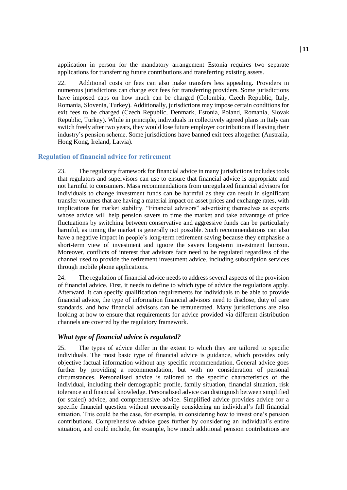application in person for the mandatory arrangement Estonia requires two separate applications for transferring future contributions and transferring existing assets.

22. Additional costs or fees can also make transfers less appealing. Providers in numerous jurisdictions can charge exit fees for transferring providers. Some jurisdictions have imposed caps on how much can be charged (Colombia, Czech Republic, Italy, Romania, Slovenia, Turkey). Additionally, jurisdictions may impose certain conditions for exit fees to be charged (Czech Republic, Denmark, Estonia, Poland, Romania, Slovak Republic, Turkey). While in principle, individuals in collectively agreed plans in Italy can switch freely after two years, they would lose future employer contributions if leaving their industry's pension scheme. Some jurisdictions have banned exit fees altogether (Australia, Hong Kong, Ireland, Latvia).

#### **Regulation of financial advice for retirement**

23. The regulatory framework for financial advice in many jurisdictions includes tools that regulators and supervisors can use to ensure that financial advice is appropriate and not harmful to consumers. Mass recommendations from unregulated financial advisors for individuals to change investment funds can be harmful as they can result in significant transfer volumes that are having a material impact on asset prices and exchange rates, with implications for market stability. "Financial advisors" advertising themselves as experts whose advice will help pension savers to time the market and take advantage of price fluctuations by switching between conservative and aggressive funds can be particularly harmful, as timing the market is generally not possible. Such recommendations can also have a negative impact in people's long-term retirement saving because they emphasise a short-term view of investment and ignore the savers long-term investment horizon. Moreover, conflicts of interest that advisors face need to be regulated regardless of the channel used to provide the retirement investment advice, including subscription services through mobile phone applications.

24. The regulation of financial advice needs to address several aspects of the provision of financial advice. First, it needs to define to which type of advice the regulations apply. Afterward, it can specify qualification requirements for individuals to be able to provide financial advice, the type of information financial advisors need to disclose, duty of care standards, and how financial advisors can be remunerated. Many jurisdictions are also looking at how to ensure that requirements for advice provided via different distribution channels are covered by the regulatory framework.

#### *What type of financial advice is regulated?*

25. The types of advice differ in the extent to which they are tailored to specific individuals. The most basic type of financial advice is guidance, which provides only objective factual information without any specific recommendation. General advice goes further by providing a recommendation, but with no consideration of personal circumstances. Personalised advice is tailored to the specific characteristics of the individual, including their demographic profile, family situation, financial situation, risk tolerance and financial knowledge. Personalised advice can distinguish between simplified (or scaled) advice, and comprehensive advice. Simplified advice provides advice for a specific financial question without necessarily considering an individual's full financial situation. This could be the case, for example, in considering how to invest one's pension contributions. Comprehensive advice goes further by considering an individual's entire situation, and could include, for example, how much additional pension contributions are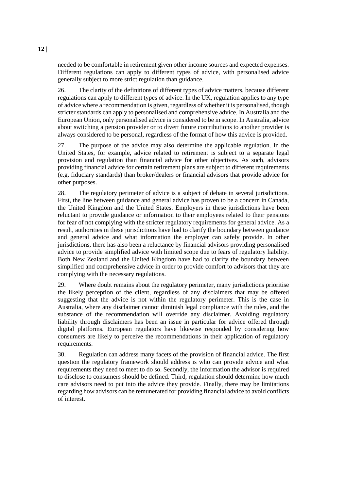needed to be comfortable in retirement given other income sources and expected expenses. Different regulations can apply to different types of advice, with personalised advice generally subject to more strict regulation than guidance.

26. The clarity of the definitions of different types of advice matters, because different regulations can apply to different types of advice. In the UK, regulation applies to any type of advice where a recommendation is given, regardless of whether it is personalised, though stricter standards can apply to personalised and comprehensive advice. In Australia and the European Union, only personalised advice is considered to be in scope. In Australia, advice about switching a pension provider or to divert future contributions to another provider is always considered to be personal, regardless of the format of how this advice is provided.

27. The purpose of the advice may also determine the applicable regulation. In the United States, for example, advice related to retirement is subject to a separate legal provision and regulation than financial advice for other objectives. As such, advisors providing financial advice for certain retirement plans are subject to different requirements (e.g. fiduciary standards) than broker/dealers or financial advisors that provide advice for other purposes.

28. The regulatory perimeter of advice is a subject of debate in several jurisdictions. First, the line between guidance and general advice has proven to be a concern in Canada, the United Kingdom and the United States. Employers in these jurisdictions have been reluctant to provide guidance or information to their employees related to their pensions for fear of not complying with the stricter regulatory requirements for general advice. As a result, authorities in these jurisdictions have had to clarify the boundary between guidance and general advice and what information the employer can safely provide. In other jurisdictions, there has also been a reluctance by financial advisors providing personalised advice to provide simplified advice with limited scope due to fears of regulatory liability. Both New Zealand and the United Kingdom have had to clarify the boundary between simplified and comprehensive advice in order to provide comfort to advisors that they are complying with the necessary regulations.

29. Where doubt remains about the regulatory perimeter, many jurisdictions prioritise the likely perception of the client, regardless of any disclaimers that may be offered suggesting that the advice is not within the regulatory perimeter. This is the case in Australia, where any disclaimer cannot diminish legal compliance with the rules, and the substance of the recommendation will override any disclaimer. Avoiding regulatory liability through disclaimers has been an issue in particular for advice offered through digital platforms. European regulators have likewise responded by considering how consumers are likely to perceive the recommendations in their application of regulatory requirements.

30. Regulation can address many facets of the provision of financial advice. The first question the regulatory framework should address is who can provide advice and what requirements they need to meet to do so. Secondly, the information the advisor is required to disclose to consumers should be defined. Third, regulation should determine how much care advisors need to put into the advice they provide. Finally, there may be limitations regarding how advisors can be remunerated for providing financial advice to avoid conflicts of interest.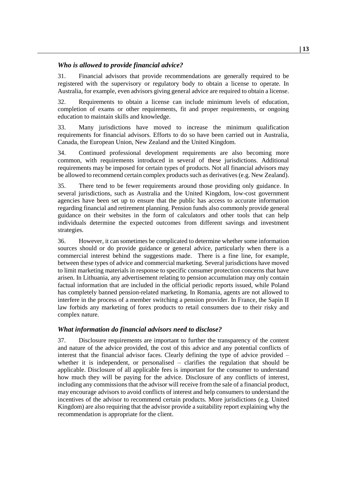#### *Who is allowed to provide financial advice?*

31. Financial advisors that provide recommendations are generally required to be registered with the supervisory or regulatory body to obtain a license to operate. In Australia, for example, even advisors giving general advice are required to obtain a license.

32. Requirements to obtain a license can include minimum levels of education, completion of exams or other requirements, fit and proper requirements, or ongoing education to maintain skills and knowledge.

33. Many jurisdictions have moved to increase the minimum qualification requirements for financial advisors. Efforts to do so have been carried out in Australia, Canada, the European Union, New Zealand and the United Kingdom.

34. Continued professional development requirements are also becoming more common, with requirements introduced in several of these jurisdictions. Additional requirements may be imposed for certain types of products. Not all financial advisors may be allowed to recommend certain complex products such as derivatives (e.g. New Zealand).

35. There tend to be fewer requirements around those providing only guidance. In several jurisdictions, such as Australia and the United Kingdom, low-cost government agencies have been set up to ensure that the public has access to accurate information regarding financial and retirement planning. Pension funds also commonly provide general guidance on their websites in the form of calculators and other tools that can help individuals determine the expected outcomes from different savings and investment strategies.

36. However, it can sometimes be complicated to determine whether some information sources should or do provide guidance or general advice, particularly when there is a commercial interest behind the suggestions made. There is a fine line, for example, between these types of advice and commercial marketing. Several jurisdictions have moved to limit marketing materials in response to specific consumer protection concerns that have arisen. In Lithuania, any advertisement relating to pension accumulation may only contain factual information that are included in the official periodic reports issued, while Poland has completely banned pension-related marketing. In Romania, agents are not allowed to interfere in the process of a member switching a pension provider. In France, the Sapin II law forbids any marketing of forex products to retail consumers due to their risky and complex nature.

## *What information do financial advisors need to disclose?*

37. Disclosure requirements are important to further the transparency of the content and nature of the advice provided, the cost of this advice and any potential conflicts of interest that the financial advisor faces. Clearly defining the type of advice provided – whether it is independent, or personalised – clarifies the regulation that should be applicable. Disclosure of all applicable fees is important for the consumer to understand how much they will be paying for the advice. Disclosure of any conflicts of interest, including any commissions that the advisor will receive from the sale of a financial product, may encourage advisors to avoid conflicts of interest and help consumers to understand the incentives of the advisor to recommend certain products. More jurisdictions (e.g. United Kingdom) are also requiring that the advisor provide a suitability report explaining why the recommendation is appropriate for the client.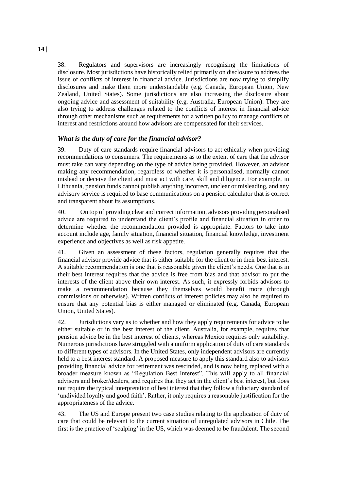38. Regulators and supervisors are increasingly recognising the limitations of disclosure. Most jurisdictions have historically relied primarily on disclosure to address the issue of conflicts of interest in financial advice. Jurisdictions are now trying to simplify disclosures and make them more understandable (e.g. Canada, European Union, New Zealand, United States). Some jurisdictions are also increasing the disclosure about ongoing advice and assessment of suitability (e.g. Australia, European Union). They are also trying to address challenges related to the conflicts of interest in financial advice through other mechanisms such as requirements for a written policy to manage conflicts of interest and restrictions around how advisors are compensated for their services.

## *What is the duty of care for the financial advisor?*

39. Duty of care standards require financial advisors to act ethically when providing recommendations to consumers. The requirements as to the extent of care that the advisor must take can vary depending on the type of advice being provided. However, an advisor making any recommendation, regardless of whether it is personalised, normally cannot mislead or deceive the client and must act with care, skill and diligence. For example, in Lithuania, pension funds cannot publish anything incorrect, unclear or misleading, and any advisory service is required to base communications on a pension calculator that is correct and transparent about its assumptions.

40. On top of providing clear and correct information, advisors providing personalised advice are required to understand the client's profile and financial situation in order to determine whether the recommendation provided is appropriate. Factors to take into account include age, family situation, financial situation, financial knowledge, investment experience and objectives as well as risk appetite.

41. Given an assessment of these factors, regulation generally requires that the financial advisor provide advice that is either suitable for the client or in their best interest. A suitable recommendation is one that is reasonable given the client's needs. One that is in their best interest requires that the advice is free from bias and that advisor to put the interests of the client above their own interest. As such, it expressly forbids advisors to make a recommendation because they themselves would benefit more (through commissions or otherwise). Written conflicts of interest policies may also be required to ensure that any potential bias is either managed or eliminated (e.g. Canada, European Union, United States).

42. Jurisdictions vary as to whether and how they apply requirements for advice to be either suitable or in the best interest of the client. Australia, for example, requires that pension advice be in the best interest of clients, whereas Mexico requires only suitability. Numerous jurisdictions have struggled with a uniform application of duty of care standards to different types of advisors. In the United States, only independent advisors are currently held to a best interest standard. A proposed measure to apply this standard also to advisors providing financial advice for retirement was rescinded, and is now being replaced with a broader measure known as "Regulation Best Interest". This will apply to all financial advisors and broker/dealers, and requires that they act in the client's best interest, but does not require the typical interpretation of best interest that they follow a fiduciary standard of 'undivided loyalty and good faith'. Rather, it only requires a reasonable justification for the appropriateness of the advice.

43. The US and Europe present two case studies relating to the application of duty of care that could be relevant to the current situation of unregulated advisors in Chile. The first is the practice of 'scalping' in the US, which was deemed to be fraudulent. The second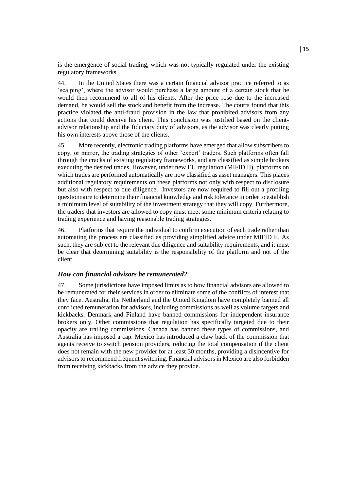is the emergence of social trading, which was not typically regulated under the existing regulatory frameworks.

44. In the United States there was a certain financial advisor practice referred to as 'scalping', where the advisor would purchase a large amount of a certain stock that he would then recommend to all of his clients. After the price rose due to the increased demand, he would sell the stock and benefit from the increase. The courts found that this practice violated the anti-fraud provision in the law that prohibited advisors from any actions that could deceive his client. This conclusion was justified based on the clientadvisor relationship and the fiduciary duty of advisors, as the advisor was clearly putting his own interests above those of the clients.

45. More recently, electronic trading platforms have emerged that allow subscribers to copy, or mirror, the trading strategies of other 'expert' traders. Such platforms often fall through the cracks of existing regulatory frameworks, and are classified as simple brokers executing the desired trades. However, under new EU regulation (MIFID II), platforms on which trades are performed automatically are now classified as asset managers. This places additional regulatory requirements on these platforms not only with respect to disclosure but also with respect to due diligence. Investors are now required to fill out a profiling questionnaire to determine their financial knowledge and risk tolerance in order to establish a minimum level of suitability of the investment strategy that they will copy. Furthermore, the traders that investors are allowed to copy must meet some minimum criteria relating to trading experience and having reasonable trading strategies.

46. Platforms that require the individual to confirm execution of each trade rather than automating the process are classified as providing simplified advice under MIFID II. As such, they are subject to the relevant due diligence and suitability requirements, and it must be clear that determining suitability is the responsibility of the platform and not of the client.

## *How can financial advisors be remunerated?*

47. Some jurisdictions have imposed limits as to how financial advisors are allowed to be remunerated for their services in order to eliminate some of the conflicts of interest that they face. Australia, the Netherland and the United Kingdom have completely banned all conflicted remuneration for advisors, including commissions as well as volume targets and kickbacks. Denmark and Finland have banned commissions for independent insurance brokers only. Other commissions that regulation has specifically targeted due to their opacity are trailing commissions. Canada has banned these types of commissions, and Australia has imposed a cap. Mexico has introduced a claw back of the commission that agents receive to switch pension providers, reducing the total compensation if the client does not remain with the new provider for at least 30 months, providing a disincentive for advisors to recommend frequent switching. Financial advisors in Mexico are also forbidden from receiving kickbacks from the advice they provide.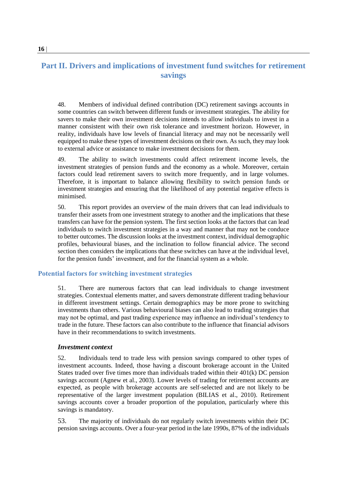# **Part II. Drivers and implications of investment fund switches for retirement savings**

48. Members of individual defined contribution (DC) retirement savings accounts in some countries can switch between different funds or investment strategies. The ability for savers to make their own investment decisions intends to allow individuals to invest in a manner consistent with their own risk tolerance and investment horizon. However, in reality, individuals have low levels of financial literacy and may not be necessarily well equipped to make these types of investment decisions on their own. As such, they may look to external advice or assistance to make investment decisions for them.

49. The ability to switch investments could affect retirement income levels, the investment strategies of pension funds and the economy as a whole. Moreover, certain factors could lead retirement savers to switch more frequently, and in large volumes. Therefore, it is important to balance allowing flexibility to switch pension funds or investment strategies and ensuring that the likelihood of any potential negative effects is minimised.

50. This report provides an overview of the main drivers that can lead individuals to transfer their assets from one investment strategy to another and the implications that these transfers can have for the pension system. The first section looks at the factors that can lead individuals to switch investment strategies in a way and manner that may not be conduce to better outcomes. The discussion looks at the investment context, individual demographic profiles, behavioural biases, and the inclination to follow financial advice. The second section then considers the implications that these switches can have at the individual level, for the pension funds' investment, and for the financial system as a whole.

#### **Potential factors for switching investment strategies**

51. There are numerous factors that can lead individuals to change investment strategies. Contextual elements matter, and savers demonstrate different trading behaviour in different investment settings. Certain demographics may be more prone to switching investments than others. Various behavioural biases can also lead to trading strategies that may not be optimal, and past trading experience may influence an individual's tendency to trade in the future. These factors can also contribute to the influence that financial advisors have in their recommendations to switch investments.

#### *Investment context*

52. Individuals tend to trade less with pension savings compared to other types of investment accounts. Indeed, those having a discount brokerage account in the United States traded over five times more than individuals traded within their 401(k) DC pension savings account (Agnew et al., 2003). Lower levels of trading for retirement accounts are expected, as people with brokerage accounts are self-selected and are not likely to be representative of the larger investment population (BILIAS et al., 2010). Retirement savings accounts cover a broader proportion of the population, particularly where this savings is mandatory.

53. The majority of individuals do not regularly switch investments within their DC pension savings accounts. Over a four-year period in the late 1990s, 87% of the individuals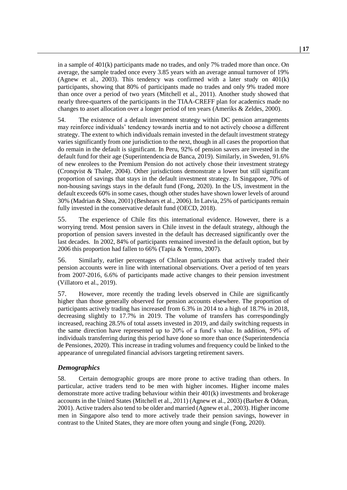in a sample of 401(k) participants made no trades, and only 7% traded more than once. On average, the sample traded once every 3.85 years with an average annual turnover of 19% (Agnew et al., 2003). This tendency was confirmed with a later study on  $401(k)$ participants, showing that 80% of participants made no trades and only 9% traded more than once over a period of two years (Mitchell et al., 2011). Another study showed that nearly three-quarters of the participants in the TIAA-CREFF plan for academics made no changes to asset allocation over a longer period of ten years (Ameriks & Zeldes, 2000).

54. The existence of a default investment strategy within DC pension arrangements may reinforce individuals' tendency towards inertia and to not actively choose a different strategy. The extent to which individuals remain invested in the default investment strategy varies significantly from one jurisdiction to the next, though in all cases the proportion that do remain in the default is significant. In Peru, 92% of pension savers are invested in the default fund for their age (Superintendencia de Banca, 2019). Similarly, in Sweden, 91.6% of new enrolees to the Premium Pension do not actively chose their investment strategy (Cronqvist & Thaler, 2004). Other jurisdictions demonstrate a lower but still significant proportion of savings that stays in the default investment strategy. In Singapore, 70% of non-housing savings stays in the default fund (Fong, 2020). In the US, investment in the default exceeds 60% in some cases, though other studes have shown lower levels of around 30% (Madrian & Shea, 2001) (Beshears et al., 2006). In Latvia, 25% of participants remain fully invested in the conservative default fund (OECD, 2018).

55. The experience of Chile fits this international evidence. However, there is a worrying trend. Most pension savers in Chile invest in the default strategy, although the proportion of pension savers invested in the default has decreased significantly over the last decades. In 2002, 84% of participants remained invested in the default option, but by 2006 this proportion had fallen to 66% (Tapia & Yermo, 2007).

56. Similarly, earlier percentages of Chilean participants that actively traded their pension accounts were in line with international observations. Over a period of ten years from 2007-2016, 6.6% of participants made active changes to their pension investment (Villatoro et al., 2019).

57. However, more recently the trading levels observed in Chile are significantly higher than those generally observed for pension accounts elsewhere. The proportion of participants actively trading has increased from 6.3% in 2014 to a high of 18.7% in 2018, decreasing slightly to 17.7% in 2019. The volume of transfers has correspondingly increased, reaching 28.5% of total assets invested in 2019, and daily switching requests in the same direction have represented up to 20% of a fund's value. In addition, 59% of individuals transferring during this period have done so more than once (Superintendencia de Pensiones, 2020). This increase in trading volumes and frequency could be linked to the appearance of unregulated financial advisors targeting retirement savers.

## *Demographics*

58. Certain demographic groups are more prone to active trading than others. In particular, active traders tend to be men with higher incomes. Higher income males demonstrate more active trading behaviour within their 401(k) investments and brokerage accounts in the United States (Mitchell et al., 2011) (Agnew et al., 2003) (Barber & Odean, 2001). Active traders also tend to be older and married (Agnew et al., 2003). Higher income men in Singapore also tend to more actively trade their pension savings, however in contrast to the United States, they are more often young and single (Fong, 2020).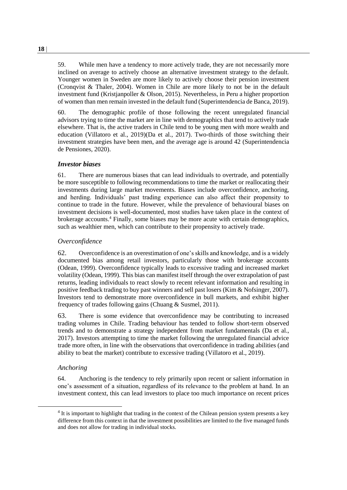59. While men have a tendency to more actively trade, they are not necessarily more inclined on average to actively choose an alternative investment strategy to the default. Younger women in Sweden are more likely to actively choose their pension investment (Cronqvist & Thaler, 2004). Women in Chile are more likely to not be in the default investment fund (Kristjanpoller & Olson, 2015). Nevertheless, in Peru a higher proportion of women than men remain invested in the default fund (Superintendencia de Banca, 2019).

60. The demographic profile of those following the recent unregulated financial advisors trying to time the market are in line with demographics that tend to actively trade elsewhere. That is, the active traders in Chile tend to be young men with more wealth and education (Villatoro et al., 2019)(Da et al., 2017). Two-thirds of those switching their investment strategies have been men, and the average age is around 42 (Superintendencia de Pensiones, 2020).

## *Investor biases*

61. There are numerous biases that can lead individuals to overtrade, and potentially be more susceptible to following recommendations to time the market or reallocating their investments during large market movements. Biases include overconfidence, anchoring, and herding. Individuals' past trading experience can also affect their propensity to continue to trade in the future. However, while the prevalence of behavioural biases on investment decisions is well-documented, most studies have taken place in the context of brokerage accounts.<sup>4</sup> Finally, some biases may be more acute with certain demographics, such as wealthier men, which can contribute to their propensity to actively trade.

## *Overconfidence*

62. Overconfidence is an overestimation of one's skills and knowledge, and is a widely documented bias among retail investors, particularly those with brokerage accounts (Odean, 1999). Overconfidence typically leads to excessive trading and increased market volatility (Odean, 1999). This bias can manifest itself through the over extrapolation of past returns, leading individuals to react slowly to recent relevant information and resulting in positive feedback trading to buy past winners and sell past losers (Kim & Nofsinger, 2007). Investors tend to demonstrate more overconfidence in bull markets, and exhibit higher frequency of trades following gains (Chuang & Susmel, 2011).

63. There is some evidence that overconfidence may be contributing to increased trading volumes in Chile. Trading behaviour has tended to follow short-term observed trends and to demonstrate a strategy independent from market fundamentals (Da et al., 2017). Investors attempting to time the market following the unregulated financial advice trade more often, in line with the observations that overconfidence in trading abilities (and ability to beat the market) contribute to excessive trading (Villatoro et al., 2019).

## *Anchoring*

64. Anchoring is the tendency to rely primarily upon recent or salient information in one's assessment of a situation, regardless of its relevance to the problem at hand. In an investment context, this can lead investors to place too much importance on recent prices

 $4$  It is important to highlight that trading in the context of the Chilean pension system presents a key difference from this context in that the investment possibilities are limited to the five managed funds and does not allow for trading in individual stocks.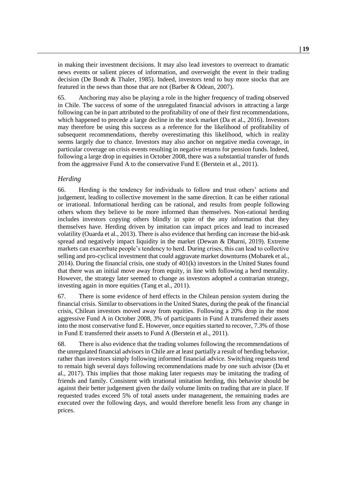in making their investment decisions. It may also lead investors to overreact to dramatic news events or salient pieces of information, and overweight the event in their trading decision (De Bondt & Thaler, 1985). Indeed, investors tend to buy more stocks that are featured in the news than those that are not (Barber & Odean, 2007).

65. Anchoring may also be playing a role in the higher frequency of trading observed in Chile. The success of some of the unregulated financial advisors in attracting a large following can be in part attributed to the profitability of one of their first recommendations, which happened to precede a large decline in the stock market (Da et al., 2016). Investors may therefore be using this success as a reference for the likelihood of profitability of subsequent recommendations, thereby overestimating this likelihood, which in reality seems largely due to chance. Investors may also anchor on negative media coverage, in particular coverage on crisis events resulting in negative returns for pension funds. Indeed, following a large drop in equities in October 2008, there was a substantial transfer of funds from the aggressive Fund A to the conservative Fund E (Berstein et al., 2011).

## *Herding*

66. Herding is the tendency for individuals to follow and trust others' actions and judgement, leading to collective movement in the same direction. It can be either rational or irrational. Informational herding can be rational, and results from people following others whom they believe to be more informed than themselves. Non-rational herding includes investors copying others blindly in spite of the any information that they themselves have. Herding driven by imitation can impact prices and lead to increased volatility (Ouarda et al., 2013). There is also evidence that herding can increase the bid-ask spread and negatively impact liquidity in the market (Dewan  $\&$  Dharni, 2019). Extreme markets can exacerbate people's tendency to herd. During crises, this can lead to collective selling and pro-cyclical investment that could aggravate market downturns (Mobarek et al., 2014). During the financial crisis, one study of 401(k) investors in the United States found that there was an initial move away from equity, in line with following a herd mentality. However, the strategy later seemed to change as investors adopted a contrarian strategy, investing again in more equities (Tang et al., 2011).

67. There is some evidence of herd effects in the Chilean pension system during the financial crisis. Similar to observations in the United States, during the peak of the financial crisis, Chilean investors moved away from equities. Following a 20% drop in the most aggressive Fund A in October 2008, 3% of participants in Fund A transferred their assets into the most conservative fund E. However, once equities started to recover, 7.3% of those in Fund E transferred their assets to Fund A (Berstein et al., 2011).

68. There is also evidence that the trading volumes following the recommendations of the unregulated financial advisors in Chile are at least partially a result of herding behavior, rather than investors simply following informed financial advice. Switching requests tend to remain high several days following recommendations made by one such advisor (Da et al., 2017). This implies that those making later requests may be imitating the trading of friends and family. Consistent with irrational imitation herding, this behavior should be against their better judgement given the daily volume limits on trading that are in place. If requested trades exceed 5% of total assets under management, the remaining trades are executed over the following days, and would therefore benefit less from any change in prices.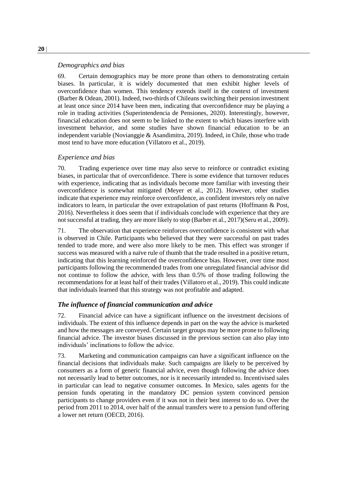#### *Demographics and bias*

69. Certain demographics may be more prone than others to demonstrating certain biases. In particular, it is widely documented that men exhibit higher levels of overconfidence than women. This tendency extends itself in the context of investment (Barber & Odean, 2001). Indeed, two-thirds of Chileans switching their pension investment at least once since 2014 have been men, indicating that overconfidence may be playing a role in trading activities (Superintendencia de Pensiones, 2020). Interestingly, however, financial education does not seem to be linked to the extent to which biases interfere with investment behavior, and some studies have shown financial education to be an independent variable (Novianggie & Asandimitra, 2019). Indeed, in Chile, those who trade most tend to have more education (Villatoro et al., 2019).

#### *Experience and bias*

70. Trading experience over time may also serve to reinforce or contradict existing biases, in particular that of overconfidence. There is some evidence that turnover reduces with experience, indicating that as individuals become more familiar with investing their overconfidence is somewhat mitigated (Meyer et al., 2012). However, other studies indicate that experience may reinforce overconfidence, as confident investors rely on naïve indicators to learn, in particular the over extrapolation of past returns (Hoffmann & Post, 2016). Nevertheless it does seem that if individuals conclude with experience that they are not successful at trading, they are more likely to stop (Barber et al., 2017)(Seru et al., 2009).

71. The observation that experience reinforces overconfidence is consistent with what is observed in Chile. Participants who believed that they were successful on past trades tended to trade more, and were also more likely to be men. This effect was stronger if success was measured with a naïve rule of thumb that the trade resulted in a positive return, indicating that this learning reinforced the overconfidence bias. However, over time most participants following the recommended trades from one unregulated financial advisor did not continue to follow the advice, with less than 0.5% of those trading following the recommendations for at least half of their trades (Villatoro et al., 2019). This could indicate that individuals learned that this strategy was not profitable and adapted.

## *The influence of financial communication and advice*

72. Financial advice can have a significant influence on the investment decisions of individuals. The extent of this influence depends in part on the way the advice is marketed and how the messages are conveyed. Certain target groups may be more prone to following financial advice. The investor biases discussed in the previous section can also play into individuals' inclinations to follow the advice.

73. Marketing and communication campaigns can have a significant influence on the financial decisions that individuals make. Such campaigns are likely to be perceived by consumers as a form of generic financial advice, even though following the advice does not necessarily lead to better outcomes, nor is it necessarily intended to. Incentivised sales in particular can lead to negative consumer outcomes. In Mexico, sales agents for the pension funds operating in the mandatory DC pension system convinced pension participants to change providers even if it was not in their best interest to do so. Over the period from 2011 to 2014, over half of the annual transfers were to a pension fund offering a lower net return (OECD, 2016).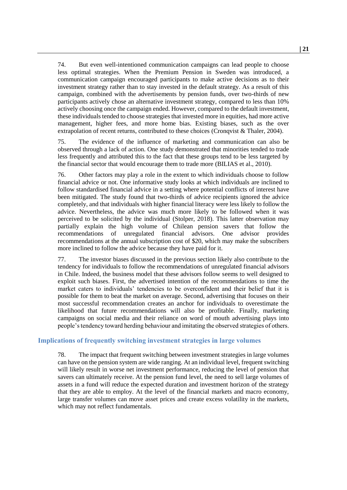74. But even well-intentioned communication campaigns can lead people to choose less optimal strategies. When the Premium Pension in Sweden was introduced, a communication campaign encouraged participants to make active decisions as to their investment strategy rather than to stay invested in the default strategy. As a result of this campaign, combined with the advertisements by pension funds, over two-thirds of new participants actively chose an alternative investment strategy, compared to less than 10% actively choosing once the campaign ended. However, compared to the default investment, these individuals tended to choose strategies that invested more in equities, had more active management, higher fees, and more home bias. Existing biases, such as the over extrapolation of recent returns, contributed to these choices (Cronqvist & Thaler, 2004).

75. The evidence of the influence of marketing and communication can also be observed through a lack of action. One study demonstrated that minorities tended to trade less frequently and attributed this to the fact that these groups tend to be less targeted by the financial sector that would encourage them to trade more (BILIAS et al., 2010).

76. Other factors may play a role in the extent to which individuals choose to follow financial advice or not. One informative study looks at which individuals are inclined to follow standardised financial advice in a setting where potential conflicts of interest have been mitigated. The study found that two-thirds of advice recipients ignored the advice completely, and that individuals with higher financial literacy were less likely to follow the advice. Nevertheless, the advice was much more likely to be followed when it was perceived to be solicited by the individual (Stolper, 2018). This latter observation may partially explain the high volume of Chilean pension savers that follow the recommendations of unregulated financial advisors. One advisor provides recommendations at the annual subscription cost of \$20, which may make the subscribers more inclined to follow the advice because they have paid for it.

77. The investor biases discussed in the previous section likely also contribute to the tendency for individuals to follow the recommendations of unregulated financial advisors in Chile. Indeed, the business model that these advisors follow seems to well designed to exploit such biases. First, the advertised intention of the recommendations to time the market caters to individuals' tendencies to be overconfident and their belief that it is possible for them to beat the market on average. Second, advertising that focuses on their most successful recommendation creates an anchor for individuals to overestimate the likelihood that future recommendations will also be profitable. Finally, marketing campaigns on social media and their reliance on word of mouth advertising plays into people's tendency toward herding behaviour and imitating the observed strategies of others.

#### **Implications of frequently switching investment strategies in large volumes**

78. The impact that frequent switching between investment strategies in large volumes can have on the pension system are wide ranging. At an individual level, frequent switching will likely result in worse net investment performance, reducing the level of pension that savers can ultimately receive. At the pension fund level, the need to sell large volumes of assets in a fund will reduce the expected duration and investment horizon of the strategy that they are able to employ. At the level of the financial markets and macro economy, large transfer volumes can move asset prices and create excess volatility in the markets, which may not reflect fundamentals.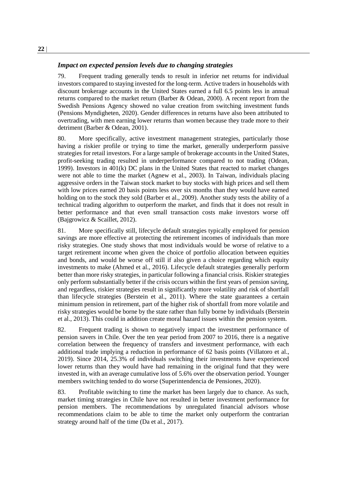#### *Impact on expected pension levels due to changing strategies*

79. Frequent trading generally tends to result in inferior net returns for individual investors compared to staying invested for the long-term. Active traders in households with discount brokerage accounts in the United States earned a full 6.5 points less in annual returns compared to the market return (Barber & Odean, 2000). A recent report from the Swedish Pensions Agency showed no value creation from switching investment funds (Pensions Myndigheten, 2020). Gender differences in returns have also been attributed to overtrading, with men earning lower returns than women because they trade more to their detriment (Barber & Odean, 2001).

80. More specifically, active investment management strategies, particularly those having a riskier profile or trying to time the market, generally underperform passive strategies for retail investors. For a large sample of brokerage accounts in the United States, profit-seeking trading resulted in underperformance compared to not trading (Odean, 1999). Investors in 401(k) DC plans in the United States that reacted to market changes were not able to time the market (Agnew et al., 2003). In Taiwan, individuals placing aggressive orders in the Taiwan stock market to buy stocks with high prices and sell them with low prices earned 20 basis points less over six months than they would have earned holding on to the stock they sold (Barber et al., 2009). Another study tests the ability of a technical trading algorithm to outperform the market, and finds that it does not result in better performance and that even small transaction costs make investors worse off (Bajgrowicz & Scaillet, 2012).

81. More specifically still, lifecycle default strategies typically employed for pension savings are more effective at protecting the retirement incomes of individuals than more risky strategies. One study shows that most individuals would be worse of relative to a target retirement income when given the choice of portfolio allocation between equities and bonds, and would be worse off still if also given a choice regarding which equity investments to make (Ahmed et al., 2016). Lifecycle default strategies generally perform better than more risky strategies, in particular following a financial crisis. Riskier strategies only perform substantially better if the crisis occurs within the first years of pension saving, and regardless, riskier strategies result in significantly more volatility and risk of shortfall than lifecycle strategies (Berstein et al., 2011). Where the state guarantees a certain minimum pension in retirement, part of the higher risk of shortfall from more volatile and risky strategies would be borne by the state rather than fully borne by individuals (Berstein et al., 2013). This could in addition create moral hazard issues within the pension system.

82. Frequent trading is shown to negatively impact the investment performance of pension savers in Chile. Over the ten year period from 2007 to 2016, there is a negative correlation between the frequency of transfers and investment performance, with each additional trade implying a reduction in performance of 62 basis points (Villatoro et al., 2019). Since 2014, 25.3% of individuals switching their investments have experienced lower returns than they would have had remaining in the original fund that they were invested in, with an average cumulative loss of 5.6% over the observation period. Younger members switching tended to do worse (Superintendencia de Pensiones, 2020).

83. Profitable switching to time the market has been largely due to chance. As such, market timing strategies in Chile have not resulted in better investment performance for pension members. The recommendations by unregulated financial advisors whose recommendations claim to be able to time the market only outperform the contrarian strategy around half of the time (Da et al., 2017).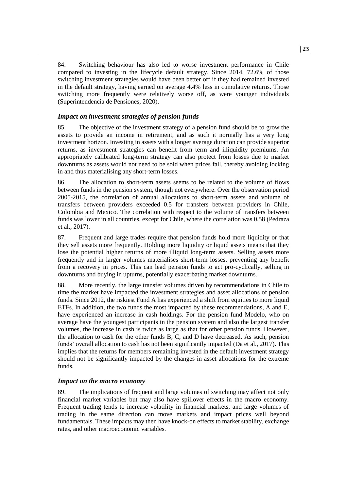84. Switching behaviour has also led to worse investment performance in Chile compared to investing in the lifecycle default strategy. Since 2014, 72.6% of those switching investment strategies would have been better off if they had remained invested in the default strategy, having earned on average 4.4% less in cumulative returns. Those switching more frequently were relatively worse off, as were younger individuals (Superintendencia de Pensiones, 2020).

## *Impact on investment strategies of pension funds*

85. The objective of the investment strategy of a pension fund should be to grow the assets to provide an income in retirement, and as such it normally has a very long investment horizon. Investing in assets with a longer average duration can provide superior returns, as investment strategies can benefit from term and illiquidity premiums. An appropriately calibrated long-term strategy can also protect from losses due to market downturns as assets would not need to be sold when prices fall, thereby avoiding locking in and thus materialising any short-term losses.

86. The allocation to short-term assets seems to be related to the volume of flows between funds in the pension system, though not everywhere. Over the observation period 2005-2015, the correlation of annual allocations to short-term assets and volume of transfers between providers exceeded 0.5 for transfers between providers in Chile, Colombia and Mexico. The correlation with respect to the volume of transfers between funds was lower in all countries, except for Chile, where the correlation was 0.58 (Pedraza et al., 2017).

87. Frequent and large trades require that pension funds hold more liquidity or that they sell assets more frequently. Holding more liquidity or liquid assets means that they lose the potential higher returns of more illiquid long-term assets. Selling assets more frequently and in larger volumes materialises short-term losses, preventing any benefit from a recovery in prices. This can lead pension funds to act pro-cyclically, selling in downturns and buying in upturns, potentially exacerbating market downturns.

88. More recently, the large transfer volumes driven by recommendations in Chile to time the market have impacted the investment strategies and asset allocations of pension funds. Since 2012, the riskiest Fund A has experienced a shift from equities to more liquid ETFs. In addition, the two funds the most impacted by these recommendations, A and E, have experienced an increase in cash holdings. For the pension fund Modelo, who on average have the youngest participants in the pension system and also the largest transfer volumes, the increase in cash is twice as large as that for other pension funds. However, the allocation to cash for the other funds B, C, and D have decreased. As such, pension funds' overall allocation to cash has not been significantly impacted (Da et al., 2017). This implies that the returns for members remaining invested in the default investment strategy should not be significantly impacted by the changes in asset allocations for the extreme funds.

#### *Impact on the macro economy*

89. The implications of frequent and large volumes of switching may affect not only financial market variables but may also have spillover effects in the macro economy. Frequent trading tends to increase volatility in financial markets, and large volumes of trading in the same direction can move markets and impact prices well beyond fundamentals. These impacts may then have knock-on effects to market stability, exchange rates, and other macroeconomic variables.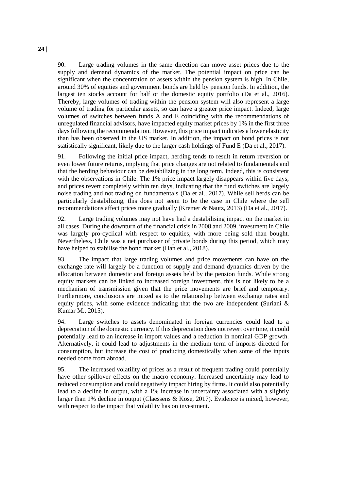90. Large trading volumes in the same direction can move asset prices due to the supply and demand dynamics of the market. The potential impact on price can be significant when the concentration of assets within the pension system is high. In Chile, around 30% of equities and government bonds are held by pension funds. In addition, the largest ten stocks account for half or the domestic equity portfolio (Da et al., 2016). Thereby, large volumes of trading within the pension system will also represent a large volume of trading for particular assets, so can have a greater price impact. Indeed, large volumes of switches between funds A and E coinciding with the recommendations of unregulated financial advisors, have impacted equity market prices by 1% in the first three days following the recommendation. However, this price impact indicates a lower elasticity than has been observed in the US market. In addition, the impact on bond prices is not statistically significant, likely due to the larger cash holdings of Fund E (Da et al., 2017).

91. Following the initial price impact, herding tends to result in return reversion or even lower future returns, implying that price changes are not related to fundamentals and that the herding behaviour can be destabilizing in the long term. Indeed, this is consistent with the observations in Chile. The 1% price impact largely disappears within five days, and prices revert completely within ten days, indicating that the fund switches are largely noise trading and not trading on fundamentals (Da et al., 2017). While sell herds can be particularly destabilizing, this does not seem to be the case in Chile where the sell recommendations affect prices more gradually (Kremer & Nautz, 2013) (Da et al., 2017).

92. Large trading volumes may not have had a destabilising impact on the market in all cases. During the downturn of the financial crisis in 2008 and 2009, investment in Chile was largely pro-cyclical with respect to equities, with more being sold than bought. Nevertheless, Chile was a net purchaser of private bonds during this period, which may have helped to stabilise the bond market (Han et al., 2018).

93. The impact that large trading volumes and price movements can have on the exchange rate will largely be a function of supply and demand dynamics driven by the allocation between domestic and foreign assets held by the pension funds. While strong equity markets can be linked to increased foreign investment, this is not likely to be a mechanism of transmission given that the price movements are brief and temporary. Furthermore, conclusions are mixed as to the relationship between exchange rates and equity prices, with some evidence indicating that the two are independent (Suriani & Kumar M., 2015).

94. Large switches to assets denominated in foreign currencies could lead to a depreciation of the domestic currency. If this depreciation does not revert over time, it could potentially lead to an increase in import values and a reduction in nominal GDP growth. Alternatively, it could lead to adjustments in the medium term of imports directed for consumption, but increase the cost of producing domestically when some of the inputs needed come from abroad.

95. The increased volatility of prices as a result of frequent trading could potentially have other spillover effects on the macro economy. Increased uncertainty may lead to reduced consumption and could negatively impact hiring by firms. It could also potentially lead to a decline in output, with a 1% increase in uncertainty associated with a slightly larger than 1% decline in output (Claessens & Kose, 2017). Evidence is mixed, however, with respect to the impact that volatility has on investment.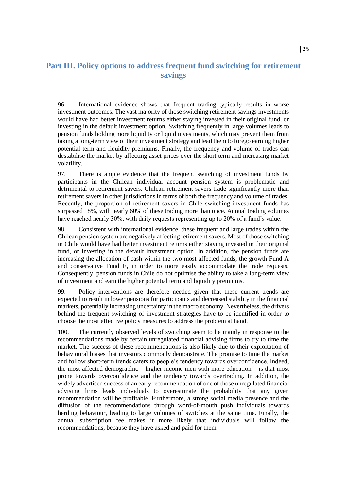# **Part III. Policy options to address frequent fund switching for retirement savings**

96. International evidence shows that frequent trading typically results in worse investment outcomes. The vast majority of those switching retirement savings investments would have had better investment returns either staying invested in their original fund, or investing in the default investment option. Switching frequently in large volumes leads to pension funds holding more liquidity or liquid investments, which may prevent them from taking a long-term view of their investment strategy and lead them to forego earning higher potential term and liquidity premiums. Finally, the frequency and volume of trades can destabilise the market by affecting asset prices over the short term and increasing market volatility.

97. There is ample evidence that the frequent switching of investment funds by participants in the Chilean individual account pension system is problematic and detrimental to retirement savers. Chilean retirement savers trade significantly more than retirement savers in other jurisdictions in terms of both the frequency and volume of trades. Recently, the proportion of retirement savers in Chile switching investment funds has surpassed 18%, with nearly 60% of these trading more than once. Annual trading volumes have reached nearly 30%, with daily requests representing up to 20% of a fund's value.

98. Consistent with international evidence, these frequent and large trades within the Chilean pension system are negatively affecting retirement savers. Most of those switching in Chile would have had better investment returns either staying invested in their original fund, or investing in the default investment option. In addition, the pension funds are increasing the allocation of cash within the two most affected funds, the growth Fund A and conservative Fund E, in order to more easily accommodate the trade requests. Consequently, pension funds in Chile do not optimise the ability to take a long-term view of investment and earn the higher potential term and liquidity premiums.

99. Policy interventions are therefore needed given that these current trends are expected to result in lower pensions for participants and decreased stability in the financial markets, potentially increasing uncertainty in the macro economy. Nevertheless, the drivers behind the frequent switching of investment strategies have to be identified in order to choose the most effective policy measures to address the problem at hand.

100. The currently observed levels of switching seem to be mainly in response to the recommendations made by certain unregulated financial advising firms to try to time the market. The success of these recommendations is also likely due to their exploitation of behavioural biases that investors commonly demonstrate. The promise to time the market and follow short-term trends caters to people's tendency towards overconfidence. Indeed, the most affected demographic – higher income men with more education – is that most prone towards overconfidence and the tendency towards overtrading. In addition, the widely advertised success of an early recommendation of one of those unregulated financial advising firms leads individuals to overestimate the probability that any given recommendation will be profitable. Furthermore, a strong social media presence and the diffusion of the recommendations through word-of-mouth push individuals towards herding behaviour, leading to large volumes of switches at the same time. Finally, the annual subscription fee makes it more likely that individuals will follow the recommendations, because they have asked and paid for them.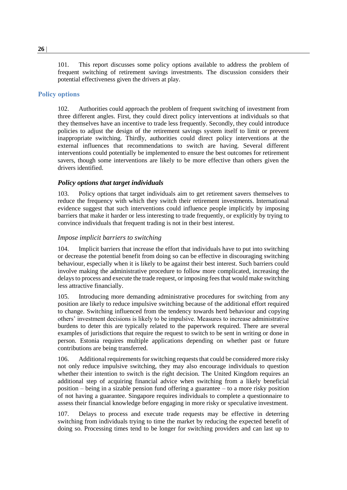101. This report discusses some policy options available to address the problem of frequent switching of retirement savings investments. The discussion considers their potential effectiveness given the drivers at play.

## **Policy options**

102. Authorities could approach the problem of frequent switching of investment from three different angles. First, they could direct policy interventions at individuals so that they themselves have an incentive to trade less frequently. Secondly, they could introduce policies to adjust the design of the retirement savings system itself to limit or prevent inappropriate switching. Thirdly, authorities could direct policy interventions at the external influences that recommendations to switch are having. Several different interventions could potentially be implemented to ensure the best outcomes for retirement savers, though some interventions are likely to be more effective than others given the drivers identified.

## *Policy options that target individuals*

103. Policy options that target individuals aim to get retirement savers themselves to reduce the frequency with which they switch their retirement investments. International evidence suggest that such interventions could influence people implicitly by imposing barriers that make it harder or less interesting to trade frequently, or explicitly by trying to convince individuals that frequent trading is not in their best interest.

## *Impose implicit barriers to switching*

104. Implicit barriers that increase the effort that individuals have to put into switching or decrease the potential benefit from doing so can be effective in discouraging switching behaviour, especially when it is likely to be against their best interest. Such barriers could involve making the administrative procedure to follow more complicated, increasing the delays to process and execute the trade request, or imposing fees that would make switching less attractive financially.

105. Introducing more demanding administrative procedures for switching from any position are likely to reduce impulsive switching because of the additional effort required to change. Switching influenced from the tendency towards herd behaviour and copying others' investment decisions is likely to be impulsive. Measures to increase administrative burdens to deter this are typically related to the paperwork required. There are several examples of jurisdictions that require the request to switch to be sent in writing or done in person. Estonia requires multiple applications depending on whether past or future contributions are being transferred.

106. Additional requirements for switching requests that could be considered more risky not only reduce impulsive switching, they may also encourage individuals to question whether their intention to switch is the right decision. The United Kingdom requires an additional step of acquiring financial advice when switching from a likely beneficial position – being in a sizable pension fund offering a guarantee – to a more risky position of not having a guarantee. Singapore requires individuals to complete a questionnaire to assess their financial knowledge before engaging in more risky or speculative investment.

107. Delays to process and execute trade requests may be effective in deterring switching from individuals trying to time the market by reducing the expected benefit of doing so. Processing times tend to be longer for switching providers and can last up to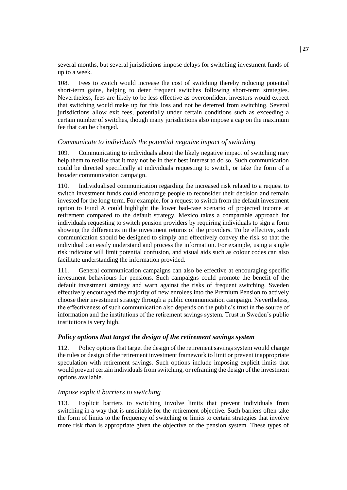several months, but several jurisdictions impose delays for switching investment funds of up to a week.

108. Fees to switch would increase the cost of switching thereby reducing potential short-term gains, helping to deter frequent switches following short-term strategies. Nevertheless, fees are likely to be less effective as overconfident investors would expect that switching would make up for this loss and not be deterred from switching. Several jurisdictions allow exit fees, potentially under certain conditions such as exceeding a certain number of switches, though many jurisdictions also impose a cap on the maximum fee that can be charged.

## *Communicate to individuals the potential negative impact of switching*

109. Communicating to individuals about the likely negative impact of switching may help them to realise that it may not be in their best interest to do so. Such communication could be directed specifically at individuals requesting to switch, or take the form of a broader communication campaign.

110. Individualised communication regarding the increased risk related to a request to switch investment funds could encourage people to reconsider their decision and remain invested for the long-term. For example, for a request to switch from the default investment option to Fund A could highlight the lower bad-case scenario of projected income at retirement compared to the default strategy. Mexico takes a comparable approach for individuals requesting to switch pension providers by requiring individuals to sign a form showing the differences in the investment returns of the providers. To be effective, such communication should be designed to simply and effectively convey the risk so that the individual can easily understand and process the information. For example, using a single risk indicator will limit potential confusion, and visual aids such as colour codes can also facilitate understanding the information provided.

111. General communication campaigns can also be effective at encouraging specific investment behaviours for pensions. Such campaigns could promote the benefit of the default investment strategy and warn against the risks of frequent switching. Sweden effectively encouraged the majority of new enrolees into the Premium Pension to actively choose their investment strategy through a public communication campaign. Nevertheless, the effectiveness of such communication also depends on the public's trust in the source of information and the institutions of the retirement savings system. Trust in Sweden's public institutions is very high.

## *Policy options that target the design of the retirement savings system*

112. Policy options that target the design of the retirement savings system would change the rules or design of the retirement investment framework to limit or prevent inappropriate speculation with retirement savings. Such options include imposing explicit limits that would prevent certain individuals from switching, or reframing the design of the investment options available.

#### *Impose explicit barriers to switching*

113. Explicit barriers to switching involve limits that prevent individuals from switching in a way that is unsuitable for the retirement objective. Such barriers often take the form of limits to the frequency of switching or limits to certain strategies that involve more risk than is appropriate given the objective of the pension system. These types of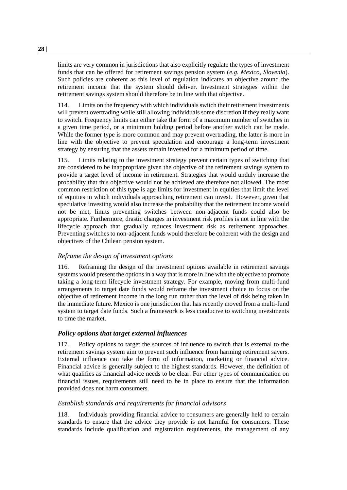limits are very common in jurisdictions that also explicitly regulate the types of investment funds that can be offered for retirement savings pension system (*e.g. Mexico, Slovenia*). Such policies are coherent as this level of regulation indicates an objective around the retirement income that the system should deliver. Investment strategies within the retirement savings system should therefore be in line with that objective.

114. Limits on the frequency with which individuals switch their retirement investments will prevent overtrading while still allowing individuals some discretion if they really want to switch. Frequency limits can either take the form of a maximum number of switches in a given time period, or a minimum holding period before another switch can be made. While the former type is more common and may prevent overtrading, the latter is more in line with the objective to prevent speculation and encourage a long-term investment strategy by ensuring that the assets remain invested for a minimum period of time.

115. Limits relating to the investment strategy prevent certain types of switching that are considered to be inappropriate given the objective of the retirement savings system to provide a target level of income in retirement. Strategies that would unduly increase the probability that this objective would not be achieved are therefore not allowed. The most common restriction of this type is age limits for investment in equities that limit the level of equities in which individuals approaching retirement can invest. However, given that speculative investing would also increase the probability that the retirement income would not be met, limits preventing switches between non-adjacent funds could also be appropriate. Furthermore, drastic changes in investment risk profiles is not in line with the lifecycle approach that gradually reduces investment risk as retirement approaches. Preventing switches to non-adjacent funds would therefore be coherent with the design and objectives of the Chilean pension system.

## *Reframe the design of investment options*

116. Reframing the design of the investment options available in retirement savings systems would present the options in a way that is more in line with the objective to promote taking a long-term lifecycle investment strategy. For example, moving from multi-fund arrangements to target date funds would reframe the investment choice to focus on the objective of retirement income in the long run rather than the level of risk being taken in the immediate future. Mexico is one jurisdiction that has recently moved from a multi-fund system to target date funds. Such a framework is less conducive to switching investments to time the market.

#### *Policy options that target external influences*

117. Policy options to target the sources of influence to switch that is external to the retirement savings system aim to prevent such influence from harming retirement savers. External influence can take the form of information, marketing or financial advice. Financial advice is generally subject to the highest standards. However, the definition of what qualifies as financial advice needs to be clear. For other types of communication on financial issues, requirements still need to be in place to ensure that the information provided does not harm consumers.

#### *Establish standards and requirements for financial advisors*

118. Individuals providing financial advice to consumers are generally held to certain standards to ensure that the advice they provide is not harmful for consumers. These standards include qualification and registration requirements, the management of any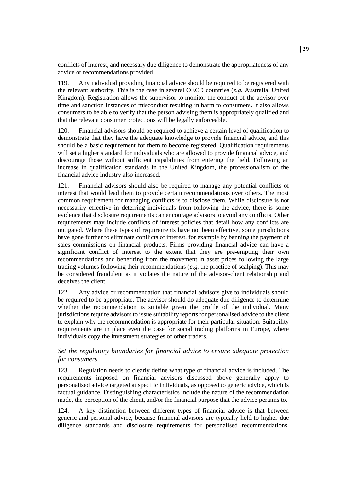conflicts of interest, and necessary due diligence to demonstrate the appropriateness of any advice or recommendations provided.

119. Any individual providing financial advice should be required to be registered with the relevant authority. This is the case in several OECD countries (*e.g.* Australia, United Kingdom). Registration allows the supervisor to monitor the conduct of the advisor over time and sanction instances of misconduct resulting in harm to consumers. It also allows consumers to be able to verify that the person advising them is appropriately qualified and that the relevant consumer protections will be legally enforceable.

120. Financial advisors should be required to achieve a certain level of qualification to demonstrate that they have the adequate knowledge to provide financial advice, and this should be a basic requirement for them to become registered. Qualification requirements will set a higher standard for individuals who are allowed to provide financial advice, and discourage those without sufficient capabilities from entering the field. Following an increase in qualification standards in the United Kingdom, the professionalism of the financial advice industry also increased.

121. Financial advisors should also be required to manage any potential conflicts of interest that would lead them to provide certain recommendations over others. The most common requirement for managing conflicts is to disclose them. While disclosure is not necessarily effective in deterring individuals from following the advice, there is some evidence that disclosure requirements can encourage advisors to avoid any conflicts. Other requirements may include conflicts of interest policies that detail how any conflicts are mitigated. Where these types of requirements have not been effective, some jurisdictions have gone further to eliminate conflicts of interest, for example by banning the payment of sales commissions on financial products. Firms providing financial advice can have a significant conflict of interest to the extent that they are pre-empting their own recommendations and benefiting from the movement in asset prices following the large trading volumes following their recommendations (*e.g.* the practice of scalping). This may be considered fraudulent as it violates the nature of the advisor-client relationship and deceives the client.

122. Any advice or recommendation that financial advisors give to individuals should be required to be appropriate. The advisor should do adequate due diligence to determine whether the recommendation is suitable given the profile of the individual. Many jurisdictions require advisors to issue suitability reports for personalised advice to the client to explain why the recommendation is appropriate for their particular situation. Suitability requirements are in place even the case for social trading platforms in Europe, where individuals copy the investment strategies of other traders.

#### *Set the regulatory boundaries for financial advice to ensure adequate protection for consumers*

123. Regulation needs to clearly define what type of financial advice is included. The requirements imposed on financial advisors discussed above generally apply to personalised advice targeted at specific individuals, as opposed to generic advice, which is factual guidance. Distinguishing characteristics include the nature of the recommendation made, the perception of the client, and/or the financial purpose that the advice pertains to.

124. A key distinction between different types of financial advice is that between generic and personal advice, because financial advisors are typically held to higher due diligence standards and disclosure requirements for personalised recommendations.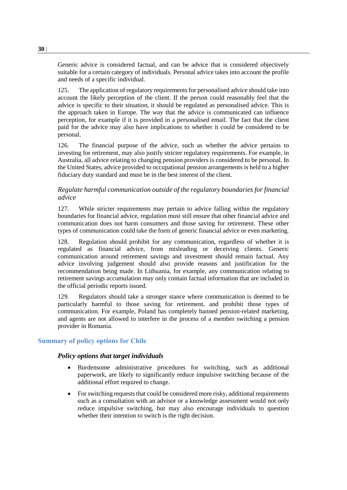Generic advice is considered factual, and can be advice that is considered objectively suitable for a certain category of individuals. Personal advice takes into account the profile and needs of a specific individual.

125. The application of regulatory requirements for personalised advice should take into account the likely perception of the client. If the person could reasonably feel that the advice is specific to their situation, it should be regulated as personalised advice. This is the approach taken in Europe. The way that the advice is communicated can influence perception, for example if it is provided in a personalised email. The fact that the client paid for the advice may also have implications to whether it could be considered to be personal.

126. The financial purpose of the advice, such as whether the advice pertains to investing for retirement, may also justify stricter regulatory requirements. For example, in Australia, all advice relating to changing pension providers is considered to be personal. In the United States, advice provided to occupational pension arrangements is held to a higher fiduciary duty standard and must be in the best interest of the client.

## *Regulate harmful communication outside of the regulatory boundaries for financial advice*

127. While stricter requirements may pertain to advice falling within the regulatory boundaries for financial advice, regulation must still ensure that other financial advice and communication does not harm consumers and those saving for retirement. These other types of communication could take the form of generic financial advice or even marketing.

128. Regulation should prohibit for any communication, regardless of whether it is regulated as financial advice, from misleading or deceiving clients. Generic communication around retirement savings and investment should remain factual. Any advice involving judgement should also provide reasons and justification for the recommendation being made. In Lithuania, for example, any communication relating to retirement savings accumulation may only contain factual information that are included in the official periodic reports issued.

129. Regulators should take a stronger stance where communication is deemed to be particularly harmful to those saving for retirement, and prohibit those types of communication. For example, Poland has completely banned pension-related marketing, and agents are not allowed to interfere in the process of a member switching a pension provider in Romania.

## **Summary of policy options for Chile**

#### *Policy options that target individuals*

- Burdensome administrative procedures for switching, such as additional paperwork, are likely to significantly reduce impulsive switching because of the additional effort required to change.
- For switching requests that could be considered more risky, additional requirements such as a consultation with an advisor or a knowledge assessment would not only reduce impulsive switching, but may also encourage individuals to question whether their intention to switch is the right decision.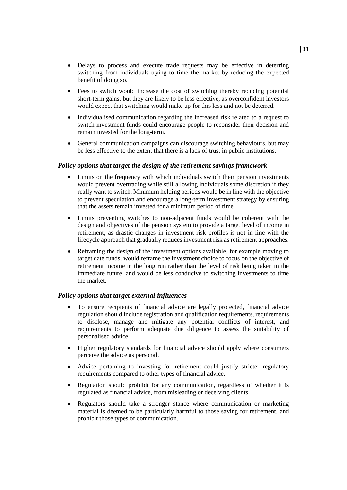- Delays to process and execute trade requests may be effective in deterring switching from individuals trying to time the market by reducing the expected benefit of doing so.
- Fees to switch would increase the cost of switching thereby reducing potential short-term gains, but they are likely to be less effective, as overconfident investors would expect that switching would make up for this loss and not be deterred.
- Individualised communication regarding the increased risk related to a request to switch investment funds could encourage people to reconsider their decision and remain invested for the long-term.
- General communication campaigns can discourage switching behaviours, but may be less effective to the extent that there is a lack of trust in public institutions.

#### *Policy options that target the design of the retirement savings framework*

- Limits on the frequency with which individuals switch their pension investments would prevent overtrading while still allowing individuals some discretion if they really want to switch. Minimum holding periods would be in line with the objective to prevent speculation and encourage a long-term investment strategy by ensuring that the assets remain invested for a minimum period of time.
- Limits preventing switches to non-adjacent funds would be coherent with the design and objectives of the pension system to provide a target level of income in retirement, as drastic changes in investment risk profiles is not in line with the lifecycle approach that gradually reduces investment risk as retirement approaches.
- Reframing the design of the investment options available, for example moving to target date funds, would reframe the investment choice to focus on the objective of retirement income in the long run rather than the level of risk being taken in the immediate future, and would be less conducive to switching investments to time the market.

#### *Policy options that target external influences*

- To ensure recipients of financial advice are legally protected, financial advice regulation should include registration and qualification requirements, requirements to disclose, manage and mitigate any potential conflicts of interest, and requirements to perform adequate due diligence to assess the suitability of personalised advice.
- Higher regulatory standards for financial advice should apply where consumers perceive the advice as personal.
- Advice pertaining to investing for retirement could justify stricter regulatory requirements compared to other types of financial advice.
- Regulation should prohibit for any communication, regardless of whether it is regulated as financial advice, from misleading or deceiving clients.
- Regulators should take a stronger stance where communication or marketing material is deemed to be particularly harmful to those saving for retirement, and prohibit those types of communication.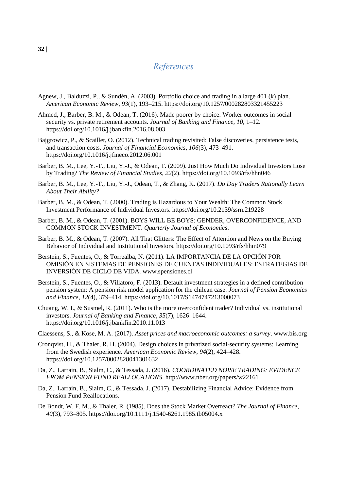# *References*

- Agnew, J., Balduzzi, P., & Sundén, A. (2003). Portfolio choice and trading in a large 401 (k) plan. *American Economic Review*, *93*(1), 193–215. https://doi.org/10.1257/000282803321455223
- Ahmed, J., Barber, B. M., & Odean, T. (2016). Made poorer by choice: Worker outcomes in social security vs. private retirement accounts. *Journal of Banking and Finance*, *10*, 1–12. https://doi.org/10.1016/j.jbankfin.2016.08.003
- Bajgrowicz, P., & Scaillet, O. (2012). Technical trading revisited: False discoveries, persistence tests, and transaction costs. *Journal of Financial Economics*, *106*(3), 473–491. https://doi.org/10.1016/j.jfineco.2012.06.001
- Barber, B. M., Lee, Y.-T., Liu, Y.-J., & Odean, T. (2009). Just How Much Do Individual Investors Lose by Trading? *The Review of Financial Studies*, *22*(2). https://doi.org/10.1093/rfs/hhn046
- Barber, B. M., Lee, Y.-T., Liu, Y.-J., Odean, T., & Zhang, K. (2017). *Do Day Traders Rationally Learn About Their Ability?*
- Barber, B. M., & Odean, T. (2000). Trading is Hazardous to Your Wealth: The Common Stock Investment Performance of Individual Investors. https://doi.org/10.2139/ssrn.219228
- Barber, B. M., & Odean, T. (2001). BOYS WILL BE BOYS: GENDER, OVERCONFIDENCE, AND COMMON STOCK INVESTMENT. *Quarterly Journal of Economics*.
- Barber, B. M., & Odean, T. (2007). All That Glitters: The Effect of Attention and News on the Buying Behavior of Individual and Institutional Investors. https://doi.org/10.1093/rfs/hhm079
- Berstein, S., Fuentes, O., & Torrealba, N. (2011). LA IMPORTANCIA DE LA OPCIÓN POR OMISIÓN EN SISTEMAS DE PENSIONES DE CUENTAS INDIVIDUALES: ESTRATEGIAS DE INVERSIÓN DE CICLO DE VIDA. www.spensiones.cl
- Berstein, S., Fuentes, O., & Villatoro, F. (2013). Default investment strategies in a defined contribution pension system: A pension risk model application for the chilean case. *Journal of Pension Economics and Finance*, *12*(4), 379–414. https://doi.org/10.1017/S1474747213000073
- Chuang, W. I., & Susmel, R. (2011). Who is the more overconfident trader? Individual vs. institutional investors. *Journal of Banking and Finance*, *35*(7), 1626–1644. https://doi.org/10.1016/j.jbankfin.2010.11.013
- Claessens, S., & Kose, M. A. (2017). *Asset prices and macroeconomic outcomes: a survey*. www.bis.org
- Cronqvist, H., & Thaler, R. H. (2004). Design choices in privatized social-security systems: Learning from the Swedish experience. *American Economic Review*, *94*(2), 424–428. https://doi.org/10.1257/0002828041301632
- Da, Z., Larrain, B., Sialm, C., & Tessada, J. (2016). *COORDINATED NOISE TRADING: EVIDENCE FROM PENSION FUND REALLOCATIONS*. http://www.nber.org/papers/w22161
- Da, Z., Larrain, B., Sialm, C., & Tessada, J. (2017). Destabilizing Financial Advice: Evidence from Pension Fund Reallocations.
- De Bondt, W. F. M., & Thaler, R. (1985). Does the Stock Market Overreact? *The Journal of Finance*, *40*(3), 793–805. https://doi.org/10.1111/j.1540-6261.1985.tb05004.x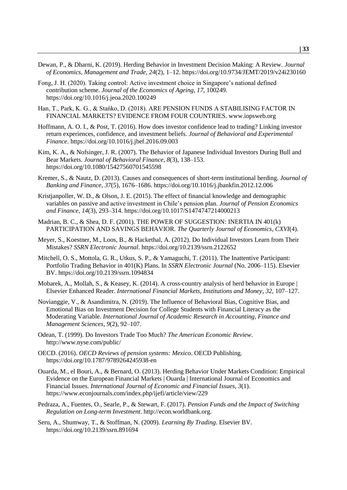- Dewan, P., & Dharni, K. (2019). Herding Behavior in Investment Decision Making: A Review. *Journal of Economics, Management and Trade*, *24*(2), 1–12. https://doi.org/10.9734/JEMT/2019/v24i230160
- Fong, J. H. (2020). Taking control: Active investment choice in Singapore's national defined contribution scheme. *Journal of the Economics of Ageing*, *17*, 100249. https://doi.org/10.1016/j.jeoa.2020.100249
- Han, T., Park, K. G., & Stańko, D. (2018). ARE PENSION FUNDS A STABILISING FACTOR IN FINANCIAL MARKETS? EVIDENCE FROM FOUR COUNTRIES. www.iopsweb.org
- Hoffmann, A. O. I., & Post, T. (2016). How does investor confidence lead to trading? Linking investor return experiences, confidence, and investment beliefs. *Journal of Behavioral and Experimental Finance*. https://doi.org/10.1016/j.jbef.2016.09.003
- Kim, K. A., & Nofsinger, J. R. (2007). The Behavior of Japanese Individual Investors During Bull and Bear Markets. *Journal of Behavioral Finance*, *8*(3), 138–153. https://doi.org/10.1080/15427560701545598
- Kremer, S., & Nautz, D. (2013). Causes and consequences of short-term institutional herding. *Journal of Banking and Finance*, *37*(5), 1676–1686. https://doi.org/10.1016/j.jbankfin.2012.12.006
- Kristianpoller, W. D.,  $\&$  Olson, J. E. (2015). The effect of financial knowledge and demographic variables on passive and active investment in Chile's pension plan. *Journal of Pension Economics and Finance*, *14*(3), 293–314. https://doi.org/10.1017/S1474747214000213
- Madrian, B. C., & Shea, D. F. (2001). THE POWER OF SUGGESTION: INERTIA IN 401(k) PARTICIPATION AND SAVINGS BEHAVIOR. *The Quarterly Journal of Economics*, *CXVI*(4).
- Meyer, S., Koestner, M., Loos, B., & Hackethal, A. (2012). Do Individual Investors Learn from Their Mistakes? *SSRN Electronic Journal*. https://doi.org/10.2139/ssrn.2122652
- Mitchell, O. S., Mottola, G. R., Utkus, S. P., & Yamaguchi, T. (2011). The Inattentive Participant: Portfolio Trading Behavior in 401(K) Plans. In *SSRN Electronic Journal* (No. 2006–115). Elsevier BV. https://doi.org/10.2139/ssrn.1094834
- Mobarek, A., Mollah, S., & Keasey, K. (2014). A cross-country analysis of herd behavior in Europe | Elsevier Enhanced Reader. *International Financial Markets, Institutions and Money*, *32*, 107–127.
- Novianggie, V., & Asandimitra, N. (2019). The Influence of Behavioral Bias, Cognitive Bias, and Emotional Bias on Investment Decision for College Students with Financial Literacy as the Moderating Variable. *International Journal of Academic Research in Accounting, Finance and Management Sciences*, *9*(2), 92–107.
- Odean, T. (1999). Do Investors Trade Too Much? *The American Economic Review*. http://www.nyse.com/public/
- OECD. (2016). *OECD Reviews of pension systems: Mexico*. OECD Publishing. https://doi.org/10.1787/9789264245938-en
- Ouarda, M., el Bouri, A., & Bernard, O. (2013). Herding Behavior Under Markets Condition: Empirical Evidence on the European Financial Markets | Ouarda | International Journal of Economics and Financial Issues. *International Journal of Economic and Financial Issues*, *3*(1). https://www.econjournals.com/index.php/ijefi/article/view/229
- Pedraza, A., Fuentes, O., Searle, P., & Stewart, F. (2017). *Pension Funds and the Impact of Switching Regulation on Long-term Investment*. http://econ.worldbank.org.
- Seru, A., Shumway, T., & Stoffman, N. (2009). *Learning By Trading*. Elsevier BV. https://doi.org/10.2139/ssrn.891694